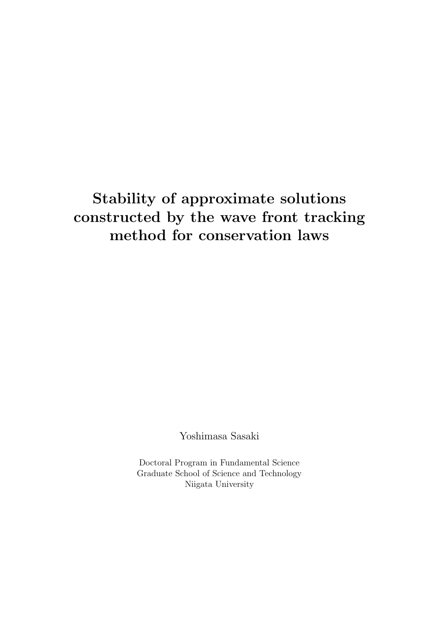# **Stability of approximate solutions constructed by the wave front tracking method for conservation laws**

Yoshimasa Sasaki

Doctoral Program in Fundamental Science Graduate School of Science and Technology Niigata University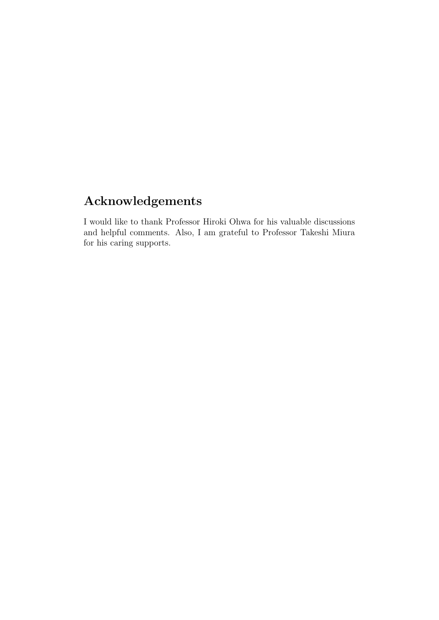# **Acknowledgements**

I would like to thank Professor Hiroki Ohwa for his valuable discussions and helpful comments. Also, I am grateful to Professor Takeshi Miura for his caring supports.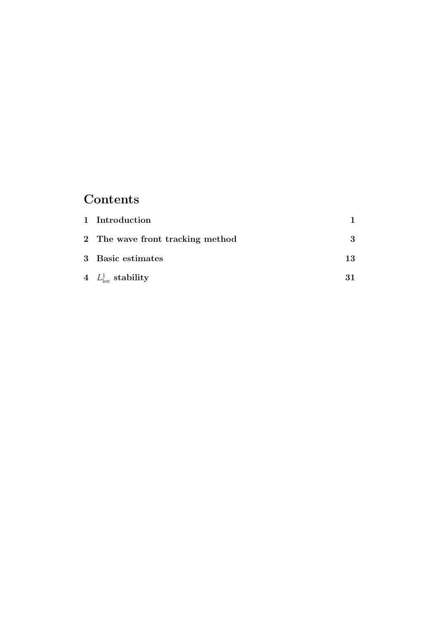## **Contents**

| 1 Introduction                   |    |
|----------------------------------|----|
| 2 The wave front tracking method |    |
| 3 Basic estimates                | 13 |
| 4 $L^1_{\text{loc}}$ stability   | 31 |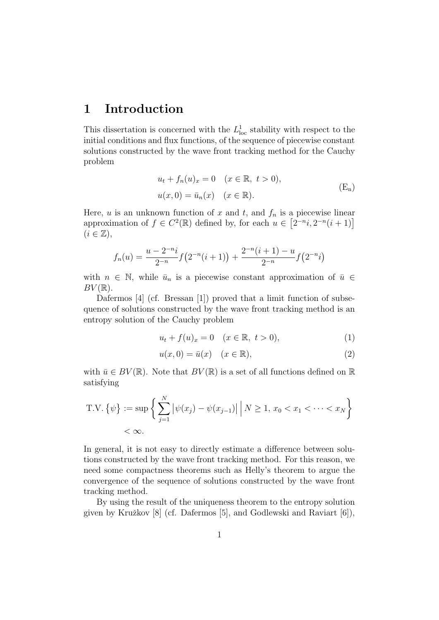## **1 Introduction**

This dissertation is concerned with the  $L^1_{loc}$  stability with respect to the initial conditions and flux functions, of the sequence of piecewise constant solutions constructed by the wave front tracking method for the Cauchy problem

$$
u_t + f_n(u)_x = 0 \quad (x \in \mathbb{R}, \ t > 0),
$$
  

$$
u(x, 0) = \bar{u}_n(x) \quad (x \in \mathbb{R}).
$$
 (E<sub>n</sub>)

Here, *u* is an unknown function of *x* and *t*, and  $f_n$  is a piecewise linear approximation of  $f \in C^2(\mathbb{R})$  defined by, for each  $u \in [2^{-n}i, 2^{-n}(i+1)]$  $(i \in \mathbb{Z}),$ 

$$
f_n(u) = \frac{u - 2^{-n}i}{2^{-n}} f(2^{-n}(i+1)) + \frac{2^{-n}(i+1) - u}{2^{-n}} f(2^{-n}i)
$$

with  $n \in \mathbb{N}$ , while  $\bar{u}_n$  is a piecewise constant approximation of  $\bar{u} \in$  $BV(\mathbb{R})$ .

Dafermos [4] (cf. Bressan [1]) proved that a limit function of subsequence of solutions constructed by the wave front tracking method is an entropy solution of the Cauchy problem

$$
u_t + f(u)_x = 0 \quad (x \in \mathbb{R}, \ t > 0), \tag{1}
$$

$$
u(x,0) = \bar{u}(x) \quad (x \in \mathbb{R}),\tag{2}
$$

with  $\bar{u} \in BV(\mathbb{R})$ . Note that  $BV(\mathbb{R})$  is a set of all functions defined on  $\mathbb{R}$ satisfying

T.V. 
$$
\{\psi\} := \sup \left\{ \sum_{j=1}^{N} |\psi(x_j) - \psi(x_{j-1})| \middle| N \ge 1, x_0 < x_1 < \dots < x_N \right\}
$$
  
<  $\infty$ .

In general, it is not easy to directly estimate a difference between solutions constructed by the wave front tracking method. For this reason, we need some compactness theorems such as Helly's theorem to argue the convergence of the sequence of solutions constructed by the wave front tracking method.

By using the result of the uniqueness theorem to the entropy solution given by Kružkov  $[8]$  (cf. Dafermos  $[5]$ , and Godlewski and Raviart  $[6]$ ),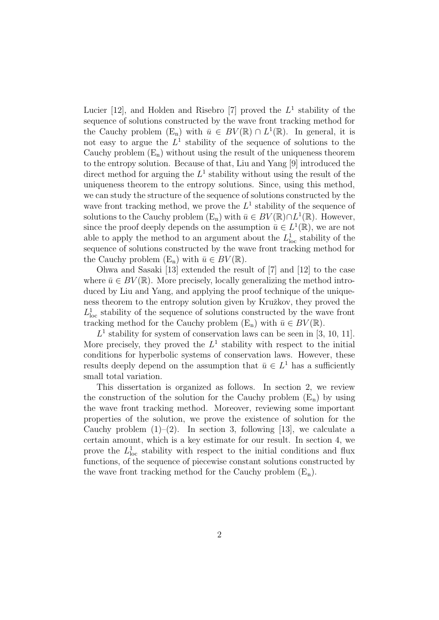Lucier  $[12]$ , and Holden and Risebro  $[7]$  proved the  $L<sup>1</sup>$  stability of the sequence of solutions constructed by the wave front tracking method for the Cauchy problem  $(E_n)$  with  $\bar{u} \in BV(\mathbb{R}) \cap L^1(\mathbb{R})$ . In general, it is not easy to argue the  $L^1$  stability of the sequence of solutions to the Cauchy problem  $(E_n)$  without using the result of the uniqueness theorem to the entropy solution. Because of that, Liu and Yang [9] introduced the direct method for arguing the  $L^1$  stability without using the result of the uniqueness theorem to the entropy solutions. Since, using this method, we can study the structure of the sequence of solutions constructed by the wave front tracking method, we prove the  $L^1$  stability of the sequence of solutions to the Cauchy problem  $(E_n)$  with  $\bar{u} \in BV(\mathbb{R}) \cap L^1(\mathbb{R})$ . However, since the proof deeply depends on the assumption  $\bar{u} \in L^1(\mathbb{R})$ , we are not able to apply the method to an argument about the  $L<sup>1</sup><sub>loc</sub>$  stability of the sequence of solutions constructed by the wave front tracking method for the Cauchy problem  $(E_n)$  with  $\bar{u} \in BV(\mathbb{R})$ .

Ohwa and Sasaki [13] extended the result of [7] and [12] to the case where  $\bar{u} \in BV(\mathbb{R})$ . More precisely, locally generalizing the method introduced by Liu and Yang, and applying the proof technique of the uniqueness theorem to the entropy solution given by Kružkov, they proved the  $L^1_{\text{loc}}$  stability of the sequence of solutions constructed by the wave front tracking method for the Cauchy problem  $(E_n)$  with  $\bar{u} \in BV(\mathbb{R})$ .

 $L<sup>1</sup>$  stability for system of conservation laws can be seen in [3, 10, 11]. More precisely, they proved the  $L^1$  stability with respect to the initial conditions for hyperbolic systems of conservation laws. However, these results deeply depend on the assumption that  $\bar{u} \in L^1$  has a sufficiently small total variation.

This dissertation is organized as follows. In section 2, we review the construction of the solution for the Cauchy problem  $(E_n)$  by using the wave front tracking method. Moreover, reviewing some important properties of the solution, we prove the existence of solution for the Cauchy problem  $(1)$ – $(2)$ . In section 3, following [13], we calculate a certain amount, which is a key estimate for our result. In section 4, we prove the  $L^1_{\text{loc}}$  stability with respect to the initial conditions and flux functions, of the sequence of piecewise constant solutions constructed by the wave front tracking method for the Cauchy problem  $(E_n)$ .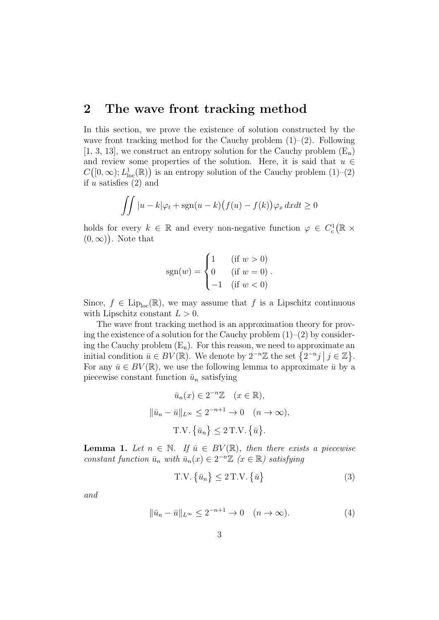### **2 The wave front tracking method**

In this section, we prove the existence of solution constructed by the wave front tracking method for the Cauchy problem  $(1)$ – $(2)$ . Following  $[1, 3, 13]$ , we construct an entropy solution for the Cauchy problem  $(E_n)$ and review some properties of the solution. Here, it is said that  $u \in$  $C([0,\infty); L^1_{loc}(\mathbb{R}))$  is an entropy solution of the Cauchy problem  $(1)$ – $(2)$ if *u* satisfies (2) and

$$
\iint |u-k|\varphi_t + \operatorname{sgn}(u-k) \big(f(u) - f(k)\big)\varphi_x \, dx dt \ge 0
$$

holds for every  $k \in \mathbb{R}$  and every non-negative function  $\varphi \in C_c^1(\mathbb{R} \times$  $(0, \infty)$ ). Note that

$$
sgn(w) = \begin{cases} 1 & (if w > 0) \\ 0 & (if w = 0) \\ -1 & (if w < 0) \end{cases}.
$$

Since,  $f \in \text{Lip}_{\text{loc}}(\mathbb{R})$ , we may assume that f is a Lipschitz continuous with Lipschitz constant  $L > 0$ .

The wave front tracking method is an approximation theory for proving the existence of a solution for the Cauchy problem  $(1)$ – $(2)$  by considering the Cauchy problem  $(E_n)$ . For this reason, we need to approximate an initial condition  $\bar{u} \in BV(\mathbb{R})$ . We denote by  $2^{-n}\mathbb{Z}$  the set  $\{2^{-n}j \mid j \in \mathbb{Z}\}\.$ For any  $\bar{u} \in BV(\mathbb{R})$ , we use the following lemma to approximate  $\bar{u}$  by a piecewise constant function  $\bar{u}_n$  satisfying

$$
\bar{u}_n(x) \in 2^{-n}\mathbb{Z} \quad (x \in \mathbb{R}),
$$

$$
\|\bar{u}_n - \bar{u}\|_{L^{\infty}} \le 2^{-n+1} \to 0 \quad (n \to \infty),
$$

$$
T.V. \{\bar{u}_n\} \le 2 \, T.V. \{\bar{u}\}.
$$

**Lemma 1.** Let  $n \in \mathbb{N}$ . If  $\bar{u} \in BV(\mathbb{R})$ , then there exists a piecewise *constant function*  $\bar{u}_n$  *with*  $\bar{u}_n(x) \in 2^{-n}\mathbb{Z}$  ( $x \in \mathbb{R}$ ) satisfying

$$
T.V. \{\bar{u}_n\} \le 2 \, T.V. \{\bar{u}\}\tag{3}
$$

*and*

$$
\|\bar{u}_n - \bar{u}\|_{L^\infty} \le 2^{-n+1} \to 0 \quad (n \to \infty).
$$
 (4)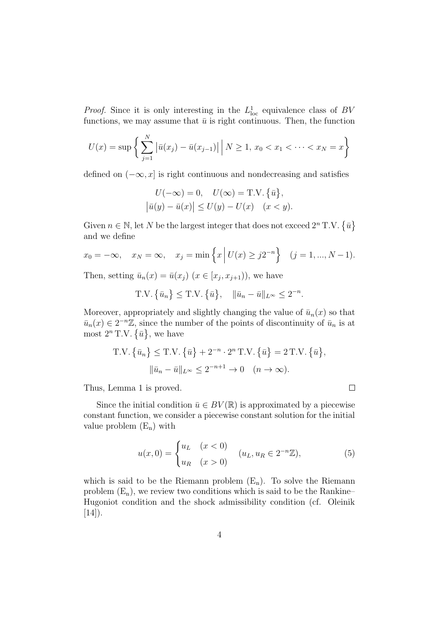*Proof.* Since it is only interesting in the  $L^1_{loc}$  equivalence class of *BV* functions, we may assume that  $\bar{u}$  is right continuous. Then, the function

$$
U(x) = \sup \left\{ \sum_{j=1}^{N} \left| \bar{u}(x_j) - \bar{u}(x_{j-1}) \right| \, \middle| \, N \ge 1, \, x_0 < x_1 < \cdots < x_N = x \right\}
$$

defined on (*−∞, x*] is right continuous and nondecreasing and satisfies

$$
U(-\infty) = 0, \quad U(\infty) = \text{T.V.} \{\bar{u}\},
$$

$$
|\bar{u}(y) - \bar{u}(x)| \le U(y) - U(x) \quad (x < y).
$$

Given  $n \in \mathbb{N}$ , let *N* be the largest integer that does not exceed  $2^n$  T.V.  $\{\bar{u}\}$ and we define

$$
x_0 = -\infty
$$
,  $x_N = \infty$ ,  $x_j = \min \{ x \mid U(x) \ge j2^{-n} \} \quad (j = 1, ..., N - 1).$ 

Then, setting  $\bar{u}_n(x) = \bar{u}(x_j)$   $(x \in [x_j, x_{j+1})$ , we have

 $T.V. \{\bar{u}_n\} \leq T.V. \{\bar{u}\}, \quad \|\bar{u}_n - \bar{u}\|_{L^\infty} \leq 2^{-n}.$ 

Moreover, appropriately and slightly changing the value of  $\bar{u}_n(x)$  so that  $\bar{u}_n(x) \in 2^{-n}\mathbb{Z}$ , since the number of the points of discontinuity of  $\bar{u}_n$  is at most  $2^n$  T.V.  $\{\bar{u}\}\text{, we have}$ 

T.V. 
$$
\{\bar{u}_n\}
$$
  $\leq$  T.V.  $\{\bar{u}\} + 2^{-n} \cdot 2^n$  T.V.  $\{\bar{u}\} = 2$  T.V.  $\{\bar{u}\},$   

$$
\|\bar{u}_n - \bar{u}\|_{L^{\infty}} \leq 2^{-n+1} \to 0 \quad (n \to \infty).
$$

Thus, Lemma 1 is proved.

Since the initial condition  $\bar{u} \in BV(\mathbb{R})$  is approximated by a piecewise constant function, we consider a piecewise constant solution for the initial value problem  $(E_n)$  with

$$
u(x,0) = \begin{cases} u_L & (x < 0) \\ u_R & (x > 0) \end{cases} \quad (u_L, u_R \in 2^{-n}\mathbb{Z}), \tag{5}
$$

 $\Box$ 

which is said to be the Riemann problem  $(E_n)$ . To solve the Riemann problem  $(E_n)$ , we review two conditions which is said to be the Rankine– Hugoniot condition and the shock admissibility condition (cf. Oleinik  $[14]$ ).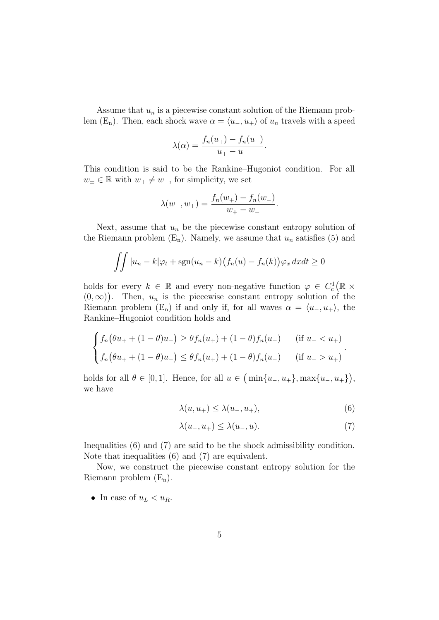Assume that *u<sup>n</sup>* is a piecewise constant solution of the Riemann problem (E<sub>n</sub>). Then, each shock wave  $\alpha = \langle u_-, u_+ \rangle$  of  $u_n$  travels with a speed

$$
\lambda(\alpha) = \frac{f_n(u_+) - f_n(u_-)}{u_+ - u_-}.
$$

This condition is said to be the Rankine–Hugoniot condition. For all *w*<sup>±</sup> ∈ ℝ with  $w_+ \neq w_$ <sup>−</sup>, for simplicity, we set

$$
\lambda(w_-, w_+) = \frac{f_n(w_+) - f_n(w_-)}{w_+ - w_-}.
$$

Next, assume that  $u_n$  be the piecewise constant entropy solution of the Riemann problem  $(E_n)$ . Namely, we assume that  $u_n$  satisfies (5) and

$$
\iint |u_n - k|\varphi_t + \operatorname{sgn}(u_n - k)(f_n(u) - f_n(k))\varphi_x \, dx dt \ge 0
$$

holds for every  $k \in \mathbb{R}$  and every non-negative function  $\varphi \in C_c^1(\mathbb{R} \times$  $(0, \infty)$ ). Then,  $u_n$  is the piecewise constant entropy solution of the Riemann problem  $(E_n)$  if and only if, for all waves  $\alpha = \langle u_-, u_+ \rangle$ , the Rankine–Hugoniot condition holds and

$$
\begin{cases}\nf_n(\theta u_+ + (1 - \theta)u_-) \ge \theta f_n(u_+) + (1 - \theta)f_n(u_-) & \text{ (if } u_- < u_+), \\
f_n(\theta u_+ + (1 - \theta)u_-) \le \theta f_n(u_+) + (1 - \theta)f_n(u_-) & \text{ (if } u_- > u_+).\n\end{cases}
$$

holds for all  $\theta \in [0, 1]$ . Hence, for all  $u \in (\min\{u_-, u_+\}, \max\{u_-, u_+\}),$ we have

$$
\lambda(u, u_+) \le \lambda(u_-, u_+),\tag{6}
$$

$$
\lambda(u_-, u_+) \leq \lambda(u_-, u). \tag{7}
$$

Inequalities (6) and (7) are said to be the shock admissibility condition. Note that inequalities (6) and (7) are equivalent.

Now, we construct the piecewise constant entropy solution for the Riemann problem  $(E_n)$ .

• In case of  $u_L < u_R$ .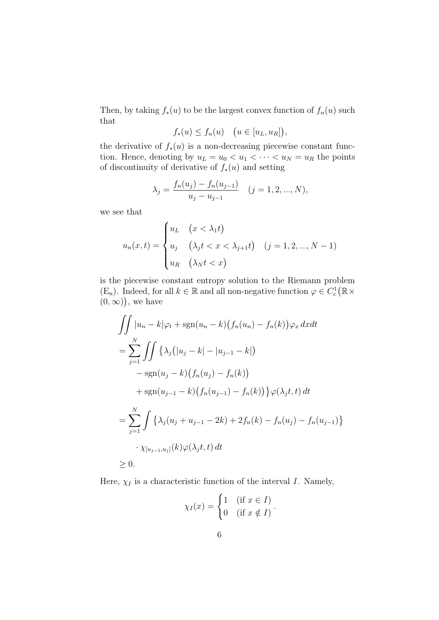Then, by taking  $f_*(u)$  to be the largest convex function of  $f_n(u)$  such that

$$
f_*(u) \le f_n(u) \quad \big(u \in [u_L, u_R]\big),
$$

the derivative of  $f_*(u)$  is a non-decreasing piecewise constant function. Hence, denoting by  $u_L = u_0 < u_1 < \cdots < u_N = u_R$  the points of discontinuity of derivative of *f∗*(*u*) and setting

$$
\lambda_j = \frac{f_n(u_j) - f_n(u_{j-1})}{u_j - u_{j-1}} \quad (j = 1, 2, ..., N),
$$

we see that

$$
u_n(x,t) = \begin{cases} u_L & (x < \lambda_1 t) \\ u_j & (\lambda_j t < x < \lambda_{j+1} t) \\ u_R & (\lambda_N t < x) \end{cases} \quad (j = 1, 2, ..., N - 1)
$$

is the piecewise constant entropy solution to the Riemann problem (E<sub>n</sub>). Indeed, for all  $k \in \mathbb{R}$  and all non-negative function  $\varphi \in C_c^1(\mathbb{R} \times$  $(0, \infty)$ , we have

$$
\iint |u_n - k|\varphi_t + sgn(u_n - k)(f_n(u_n) - f_n(k))\varphi_x \, dxdt
$$
  
= 
$$
\sum_{j=1}^N \iint \{\lambda_j(|u_j - k| - |u_{j-1} - k|)
$$
  

$$
- sgn(u_j - k)(f_n(u_j) - f_n(k))
$$
  

$$
+ sgn(u_{j-1} - k)(f_n(u_{j-1}) - f_n(k))\} \varphi(\lambda_j t, t) \, dt
$$
  
= 
$$
\sum_{j=1}^N \int \{\lambda_j(u_j + u_{j-1} - 2k) + 2f_n(k) - f_n(u_j) - f_n(u_{j-1})\}
$$
  

$$
\cdot \chi_{[u_{j-1}, u_j]}(k) \varphi(\lambda_j t, t) \, dt
$$
  

$$
\geq 0.
$$

Here,  $\chi_I$  is a characteristic function of the interval *I*. Namely,

$$
\chi_I(x) = \begin{cases} 1 & \text{if } x \in I \\ 0 & \text{if } x \notin I \end{cases}.
$$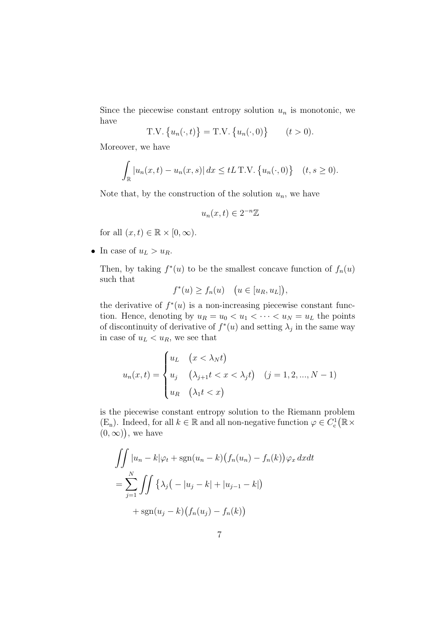Since the piecewise constant entropy solution  $u_n$  is monotonic, we have

T.V. 
$$
\{u_n(\cdot, t)\}\ = \text{T.V. }\{u_n(\cdot, 0)\}\
$$
  $(t > 0).$ 

Moreover, we have

$$
\int_{\mathbb{R}} |u_n(x,t) - u_n(x,s)| dx \leq tL \text{ T.V. } \{u_n(\cdot,0)\} \quad (t,s \geq 0).
$$

Note that, by the construction of the solution  $u_n$ , we have

$$
u_n(x,t) \in 2^{-n}\mathbb{Z}
$$

for all  $(x, t) \in \mathbb{R} \times [0, \infty)$ .

• In case of  $u_L > u_R$ .

Then, by taking  $f^*(u)$  to be the smallest concave function of  $f_n(u)$ such that

$$
f^*(u) \ge f_n(u) \quad \big(u \in [u_R, u_L]\big),
$$

the derivative of  $f^*(u)$  is a non-increasing piecewise constant function. Hence, denoting by  $u_R = u_0 < u_1 < \cdots < u_N = u_L$  the points of discontinuity of derivative of  $f^*(u)$  and setting  $\lambda_j$  in the same way in case of  $u_L < u_R$ , we see that

$$
u_n(x,t) = \begin{cases} u_L & \text{if } (x < \lambda_N t) \\ u_j & \text{if } (\lambda_{j+1} t < x < \lambda_j t) \\ u_R & \text{if } (\lambda_1 t < x) \end{cases} \quad (j = 1, 2, \dots, N - 1)
$$

is the piecewise constant entropy solution to the Riemann problem (E<sub>n</sub>). Indeed, for all  $k \in \mathbb{R}$  and all non-negative function  $\varphi \in C_c^1(\mathbb{R} \times$  $(0, \infty)$ , we have

$$
\iint |u_n - k|\varphi_t + \operatorname{sgn}(u_n - k) (f_n(u_n) - f_n(k))\varphi_x dx dt
$$
  
= 
$$
\sum_{j=1}^N \iint \{\lambda_j (-|u_j - k| + |u_{j-1} - k|)
$$
  
+ 
$$
\operatorname{sgn}(u_j - k) (f_n(u_j) - f_n(k))
$$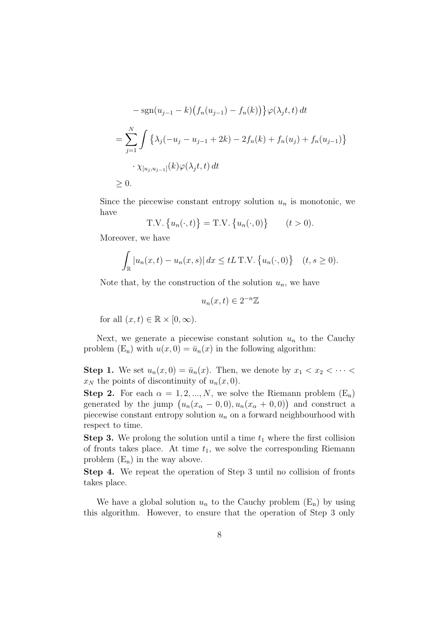$$
-\operatorname{sgn}(u_{j-1} - k) (f_n(u_{j-1}) - f_n(k)) \} \varphi(\lambda_j t, t) dt
$$
  
= 
$$
\sum_{j=1}^N \int {\{\lambda_j (-u_j - u_{j-1} + 2k) - 2f_n(k) + f_n(u_j) + f_n(u_{j-1})\}}
$$
  

$$
\cdot \chi_{[u_j, u_{j-1}]}(k) \varphi(\lambda_j t, t) dt
$$
  

$$
\geq 0.
$$

Since the piecewise constant entropy solution  $u_n$  is monotonic, we have

T.V. 
$$
\{u_n(\cdot, t)\}\
$$
T.V.  $\{u_n(\cdot, 0)\}\$   $(t > 0)$ .

Moreover, we have

$$
\int_{\mathbb{R}} |u_n(x,t) - u_n(x,s)| dx \leq tL \text{ T.V. } \{u_n(\cdot,0)\} \quad (t,s \geq 0).
$$

Note that, by the construction of the solution  $u_n$ , we have

 $u_n(x, t) \in 2^{-n}\mathbb{Z}$ 

for all  $(x, t) \in \mathbb{R} \times [0, \infty)$ .

Next, we generate a piecewise constant solution  $u_n$  to the Cauchy problem  $(E_n)$  with  $u(x, 0) = \bar{u}_n(x)$  in the following algorithm:

**Step 1.** We set  $u_n(x,0) = \bar{u}_n(x)$ . Then, we denote by  $x_1 < x_2 < \cdots$  $x_N$  the points of discontinuity of  $u_n(x, 0)$ .

**Step 2.** For each  $\alpha = 1, 2, ..., N$ , we solve the Riemann problem  $(E_n)$ generated by the jump  $(u_n(x_\alpha - 0, 0), u_n(x_\alpha + 0, 0))$  and construct a piecewise constant entropy solution  $u_n$  on a forward neighbourhood with respect to time.

**Step 3.** We prolong the solution until a time  $t_1$  where the first collision of fronts takes place. At time  $t_1$ , we solve the corresponding Riemann problem  $(E_n)$  in the way above.

**Step 4.** We repeat the operation of Step 3 until no collision of fronts takes place.

We have a global solution  $u_n$  to the Cauchy problem  $(E_n)$  by using this algorithm. However, to ensure that the operation of Step 3 only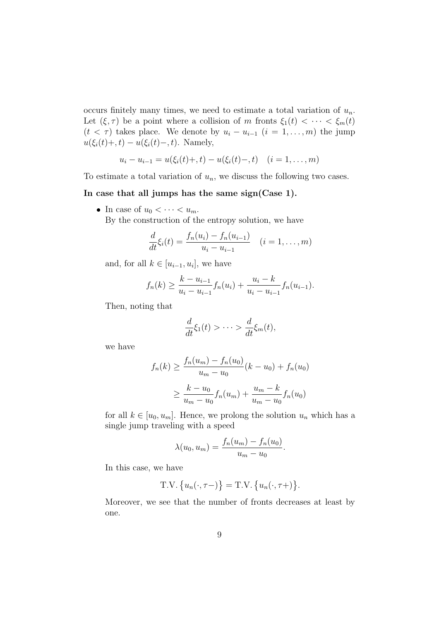occurs finitely many times, we need to estimate a total variation of *un*. Let  $(\xi, \tau)$  be a point where a collision of *m* fronts  $\xi_1(t) < \cdots < \xi_m(t)$  $(t < \tau)$  takes place. We denote by  $u_i - u_{i-1}$   $(i = 1, \ldots, m)$  the jump  $u(\xi_i(t) + t) - u(\xi_i(t) - t)$ . Namely,

$$
u_i - u_{i-1} = u(\xi_i(t) + t) - u(\xi_i(t) - t) \quad (i = 1, ..., m)
$$

To estimate a total variation of  $u_n$ , we discuss the following two cases.

#### **In case that all jumps has the same sign(Case 1).**

• In case of  $u_0 < \cdots < u_m$ .

By the construction of the entropy solution, we have

$$
\frac{d}{dt}\xi_i(t) = \frac{f_n(u_i) - f_n(u_{i-1})}{u_i - u_{i-1}} \quad (i = 1, \dots, m)
$$

and, for all  $k \in [u_{i-1}, u_i]$ , we have

$$
f_n(k) \geq \frac{k - u_{i-1}}{u_i - u_{i-1}} f_n(u_i) + \frac{u_i - k}{u_i - u_{i-1}} f_n(u_{i-1}).
$$

Then, noting that

$$
\frac{d}{dt}\xi_1(t) > \cdots > \frac{d}{dt}\xi_m(t),
$$

we have

$$
f_n(k) \ge \frac{f_n(u_m) - f_n(u_0)}{u_m - u_0} (k - u_0) + f_n(u_0)
$$
  
 
$$
\ge \frac{k - u_0}{u_m - u_0} f_n(u_m) + \frac{u_m - k}{u_m - u_0} f_n(u_0)
$$

for all  $k \in [u_0, u_m]$ . Hence, we prolong the solution  $u_n$  which has a single jump traveling with a speed

$$
\lambda(u_0, u_m) = \frac{f_n(u_m) - f_n(u_0)}{u_m - u_0}.
$$

In this case, we have

$$
T.V. \{u_n(\cdot, \tau-) \} = T.V. \{u_n(\cdot, \tau+) \}.
$$

Moreover, we see that the number of fronts decreases at least by one.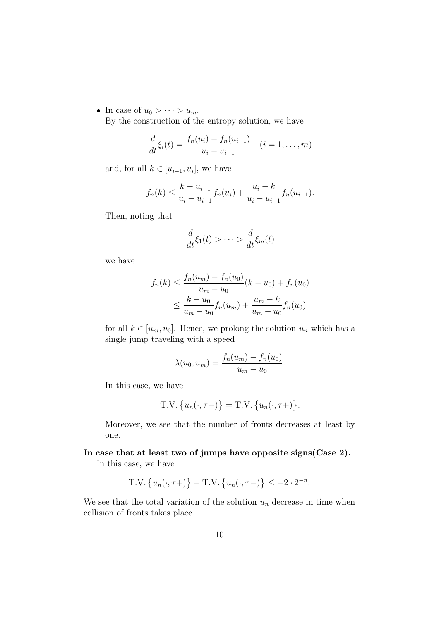• In case of  $u_0 > \cdots > u_m$ .

By the construction of the entropy solution, we have

$$
\frac{d}{dt}\xi_i(t) = \frac{f_n(u_i) - f_n(u_{i-1})}{u_i - u_{i-1}} \quad (i = 1, \dots, m)
$$

and, for all  $k \in [u_{i-1}, u_i]$ , we have

$$
f_n(k) \leq \frac{k - u_{i-1}}{u_i - u_{i-1}} f_n(u_i) + \frac{u_i - k}{u_i - u_{i-1}} f_n(u_{i-1}).
$$

Then, noting that

$$
\frac{d}{dt}\xi_1(t) > \cdots > \frac{d}{dt}\xi_m(t)
$$

we have

$$
f_n(k) \le \frac{f_n(u_m) - f_n(u_0)}{u_m - u_0} (k - u_0) + f_n(u_0)
$$
  

$$
\le \frac{k - u_0}{u_m - u_0} f_n(u_m) + \frac{u_m - k}{u_m - u_0} f_n(u_0)
$$

for all  $k \in [u_m, u_0]$ . Hence, we prolong the solution  $u_n$  which has a single jump traveling with a speed

$$
\lambda(u_0, u_m) = \frac{f_n(u_m) - f_n(u_0)}{u_m - u_0}.
$$

In this case, we have

$$
T.V. \{u_n(\cdot, \tau-) \} = T.V. \{u_n(\cdot, \tau+) \}.
$$

Moreover, we see that the number of fronts decreases at least by one.

**In case that at least two of jumps have opposite signs(Case 2).**

In this case, we have

T.V. 
$$
\{u_n(\cdot, \tau+\})
$$
 - T.V.  $\{u_n(\cdot, \tau-\})$   $\leq -2 \cdot 2^{-n}$ .

We see that the total variation of the solution  $u_n$  decrease in time when collision of fronts takes place.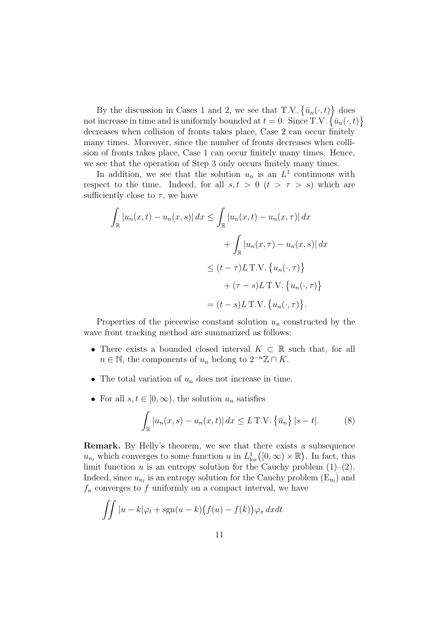By the discussion in Cases 1 and 2, we see that T.V.  $\{\bar{u}_n(\cdot, t)\}$  does not increase in time and is uniformly bounded at  $t = 0$ . Since  $T.V. \{\bar{u}_n(\cdot, t)\}$ decreases when collision of fronts takes place, Case 2 can occur finitely many times. Moreover, since the number of fronts decreases when collision of fronts takes place, Case 1 can occur finitely many times. Hence, we see that the operation of Step 3 only occurs finitely many times.

In addition, we see that the solution  $u_n$  is an  $L^1$  continuous with respect to the time. Indeed, for all  $s, t > 0$  ( $t > \tau > s$ ) which are sufficiently close to  $\tau$ , we have

$$
\int_{\mathbb{R}} |u_n(x,t) - u_n(x,s)| dx \le \int_{\mathbb{R}} |u_n(x,t) - u_n(x,\tau)| dx
$$

$$
+ \int_{\mathbb{R}} |u_n(x,\tau) - u_n(x,s)| dx
$$

$$
\le (t - \tau)L \text{ T.V. } \{u_n(\cdot,\tau)\}
$$

$$
+ (\tau - s)L \text{ T.V. } \{u_n(\cdot,\tau)\}
$$

$$
= (t - s)L \text{ T.V. } \{u_n(\cdot,\tau)\}.
$$

Properties of the piecewise constant solution  $u_n$  constructed by the wave front tracking method are summarized as follows:

- There exists a bounded closed interval  $K \subset \mathbb{R}$  such that, for all  $n \in \mathbb{N}$ , the components of  $u_n$  belong to  $2^{-n}\mathbb{Z} \cap K$ .
- The total variation of  $u_n$  does not increase in time.
- For all  $s, t \in [0, \infty)$ , the solution  $u_n$  satisfies

$$
\int_{\mathbb{R}} |u_n(x, s) - u_n(x, t)| dx \le L \text{ T.V. } \{\bar{u}_n\} |s - t|.
$$
 (8)

**Remark.** By Helly's theorem, we see that there exists a subsequence *u*<sub>*nl*</sub> which converges to some function *u* in  $L^1_{loc}([0,\infty)\times\mathbb{R})$ . In fact, this limit function  $u$  is an entropy solution for the Cauchy problem  $(1)$ – $(2)$ . Indeed, since  $u_{n_l}$  is an entropy solution for the Cauchy problem  $(E_{n_l})$  and *f<sup>n</sup>* converges to *f* uniformly on a compact interval, we have

$$
\int\int |u-k|\varphi_t + \mathrm{sgn}(u-k)\big(f(u) - f(k)\big)\varphi_x\,dxdt
$$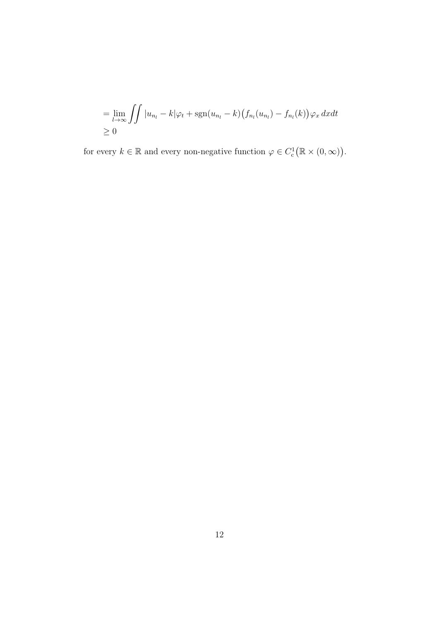$$
= \lim_{l \to \infty} \iint |u_{n_l} - k| \varphi_t + \operatorname{sgn}(u_{n_l} - k) (f_{n_l}(u_{n_l}) - f_{n_l}(k)) \varphi_x \, dxdt
$$
  
 
$$
\geq 0
$$

for every  $k \in \mathbb{R}$  and every non-negative function  $\varphi \in C_c^1(\mathbb{R} \times (0, \infty)).$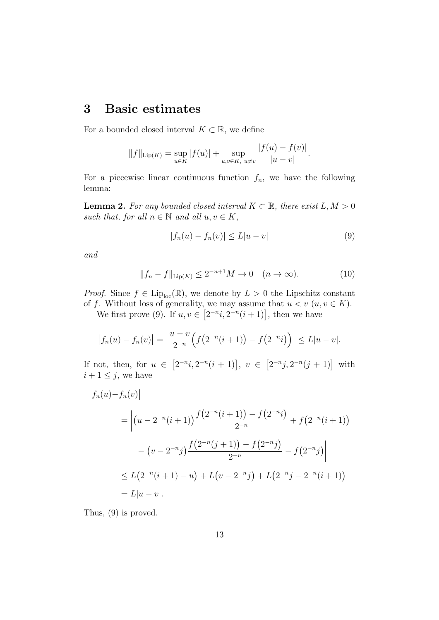## **3 Basic estimates**

For a bounded closed interval  $K \subset \mathbb{R}$ , we define

$$
||f||_{\text{Lip}(K)} = \sup_{u \in K} |f(u)| + \sup_{u,v \in K, u \neq v} \frac{|f(u) - f(v)|}{|u - v|}.
$$

For a piecewise linear continuous function  $f_n$ , we have the following lemma:

**Lemma 2.** For any bounded closed interval  $K \subset \mathbb{R}$ , there exist  $L, M > 0$ *such that, for all*  $n \in \mathbb{N}$  *and all*  $u, v \in K$ *,* 

$$
|f_n(u) - f_n(v)| \le L|u - v|
$$
\n<sup>(9)</sup>

*and*

$$
||f_n - f||_{\text{Lip}(K)} \le 2^{-n+1} M \to 0 \quad (n \to \infty).
$$
 (10)

*Proof.* Since  $f \in \text{Lip}_{\text{loc}}(\mathbb{R})$ , we denote by  $L > 0$  the Lipschitz constant of *f*. Without loss of generality, we may assume that  $u < v$  ( $u, v \in K$ ).

We first prove (9). If  $u, v \in [2^{-n}i, 2^{-n}(i+1)]$ , then we have

$$
|f_n(u) - f_n(v)| = \left| \frac{u - v}{2^{-n}} \Big( f(2^{-n}(i+1)) - f(2^{-n}i) \Big) \right| \le L|u - v|.
$$

If not, then, for  $u \in [2^{-n}i, 2^{-n}(i+1)]$ ,  $v \in [2^{-n}j, 2^{-n}(j+1)]$  with  $i + 1 \leq j$ , we have

$$
\begin{aligned}\n\left| f_n(u) - f_n(v) \right| \\
&= \left| \left( u - 2^{-n} (i+1) \right) \frac{f(2^{-n} (i+1)) - f(2^{-n} i)}{2^{-n}} + f(2^{-n} (i+1)) \right| \\
&- \left( v - 2^{-n} j \right) \frac{f(2^{-n} (j+1)) - f(2^{-n} j)}{2^{-n}} - f(2^{-n} j) \right| \\
&\le L \left( 2^{-n} (i+1) - u \right) + L \left( v - 2^{-n} j \right) + L \left( 2^{-n} j - 2^{-n} (i+1) \right) \\
&= L |u - v|. \n\end{aligned}
$$

Thus, (9) is proved.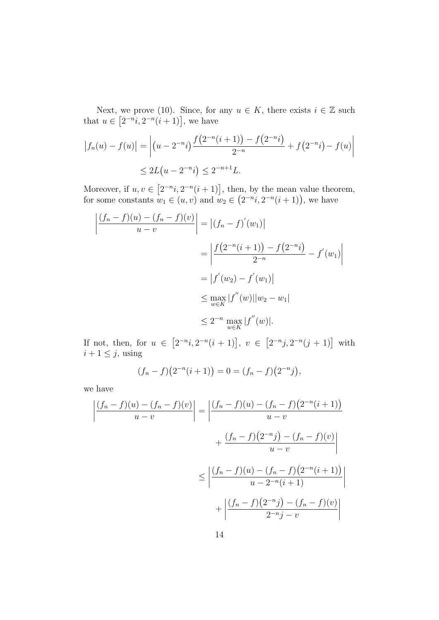Next, we prove (10). Since, for any  $u \in K$ , there exists  $i \in \mathbb{Z}$  such that  $u \in [2^{-n}i, 2^{-n}(i+1)]$ , we have

$$
|f_n(u) - f(u)| = \left| (u - 2^{-n}i) \frac{f(2^{-n}(i+1)) - f(2^{-n}i)}{2^{-n}} + f(2^{-n}i) - f(u) \right|
$$
  
 
$$
\leq 2L(u - 2^{-n}i) \leq 2^{-n+1}L.
$$

Moreover, if  $u, v \in [2^{-n}i, 2^{-n}(i+1)]$ , then, by the mean value theorem, for some constants  $w_1 \in (u, v)$  and  $w_2 \in (2^{-n}i, 2^{-n}(i+1))$ , we have

$$
\left| \frac{(f_n - f)(u) - (f_n - f)(v)}{u - v} \right| = \left| (f_n - f)'(w_1) \right|
$$
  
= 
$$
\left| \frac{f(2^{-n}(i + 1)) - f(2^{-n}i)}{2^{-n}} - f'(w_1) \right|
$$
  
= 
$$
\left| f'(w_2) - f'(w_1) \right|
$$
  
\$\leq \max\_{w \in K} |f''(w)| |w\_2 - w\_1|\$  
\$\leq 2^{-n} \max\_{w \in K} |f''(w)|\$.

If not, then, for  $u \in [2^{-n}i, 2^{-n}(i+1)]$ ,  $v \in [2^{-n}j, 2^{-n}(j+1)]$  with  $i + 1 \leq j$ , using

$$
(f_n - f)(2^{-n}(i+1)) = 0 = (f_n - f)(2^{-n}j),
$$

we have

$$
\left| \frac{(f_n - f)(u) - (f_n - f)(v)}{u - v} \right| = \left| \frac{(f_n - f)(u) - (f_n - f)(2^{-n}(i + 1))}{u - v} \right|
$$

$$
+ \frac{(f_n - f)(2^{-n}j) - (f_n - f)(v)}{u - v} \right|
$$

$$
\leq \left| \frac{(f_n - f)(u) - (f_n - f)(2^{-n}(i + 1))}{u - 2^{-n}(i + 1)} \right|
$$

$$
+ \left| \frac{(f_n - f)(2^{-n}j) - (f_n - f)(v)}{2^{-n}j - v} \right|
$$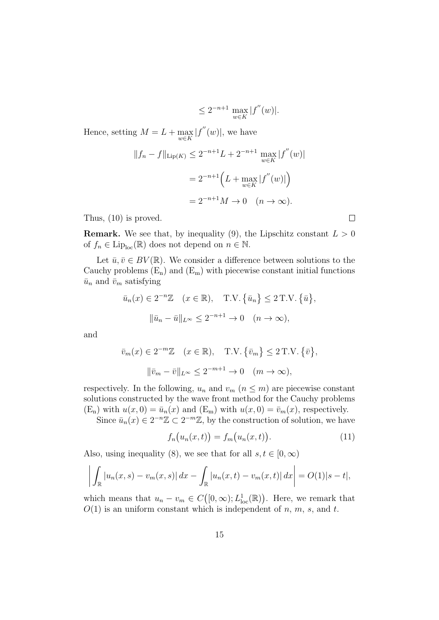$$
\leq 2^{-n+1} \max_{w \in K} |f''(w)|.
$$

Hence, setting  $M = L + \text{max}$ *w∈K*  $|f''(w)|$ , we have

$$
||f_n - f||_{\text{Lip}(K)} \le 2^{-n+1} L + 2^{-n+1} \max_{w \in K} |f''(w)|
$$
  
=  $2^{-n+1} \Big( L + \max_{w \in K} |f''(w)| \Big)$   
=  $2^{-n+1} M \to 0 \quad (n \to \infty).$ 

Thus, (10) is proved.

**Remark.** We see that, by inequality (9), the Lipschitz constant  $L > 0$ of  $f_n \in \text{Lip}_{\text{loc}}(\mathbb{R})$  does not depend on  $n \in \mathbb{N}$ .

Let  $\bar{u}, \bar{v} \in BV(\mathbb{R})$ . We consider a difference between solutions to the Cauchy problems  $(E_n)$  and  $(E_m)$  with piecewise constant initial functions  $\bar{u}_n$  and  $\bar{v}_m$  satisfying

$$
\bar{u}_n(x) \in 2^{-n}\mathbb{Z} \quad (x \in \mathbb{R}), \quad \text{T.V.} \{\bar{u}_n\} \le 2 \text{ T.V.} \{\bar{u}\},
$$

$$
\|\bar{u}_n - \bar{u}\|_{L^{\infty}} \le 2^{-n+1} \to 0 \quad (n \to \infty),
$$

and

$$
\bar{v}_m(x) \in 2^{-m}\mathbb{Z} \quad (x \in \mathbb{R}), \quad \text{T.V.} \{\bar{v}_m\} \le 2 \text{ T.V.} \{\bar{v}\},
$$

$$
\|\bar{v}_m - \bar{v}\|_{L^\infty} \le 2^{-m+1} \to 0 \quad (m \to \infty),
$$

respectively. In the following,  $u_n$  and  $v_m$  ( $n \leq m$ ) are piecewise constant solutions constructed by the wave front method for the Cauchy problems  $(E_n)$  with  $u(x, 0) = \bar{u}_n(x)$  and  $(E_m)$  with  $u(x, 0) = \bar{v}_m(x)$ , respectively.

Since  $\bar{u}_n(x) \in 2^{-n}\mathbb{Z} \subset 2^{-m}\mathbb{Z}$ , by the construction of solution, we have

$$
f_n(u_n(x,t)) = f_m(u_n(x,t)).
$$
\n(11)

Also, using inequality (8), we see that for all  $s, t \in [0, \infty)$ 

$$
\left| \int_{\mathbb{R}} |u_n(x,s) - v_m(x,s)| dx - \int_{\mathbb{R}} |u_n(x,t) - v_m(x,t)| dx \right| = O(1)|s - t|,
$$

which means that  $u_n - v_m \in C([0,\infty); L^1_{loc}(\mathbb{R}))$ . Here, we remark that *O*(1) is an uniform constant which is independent of *n*, *m*, *s*, and *t*.

 $\Box$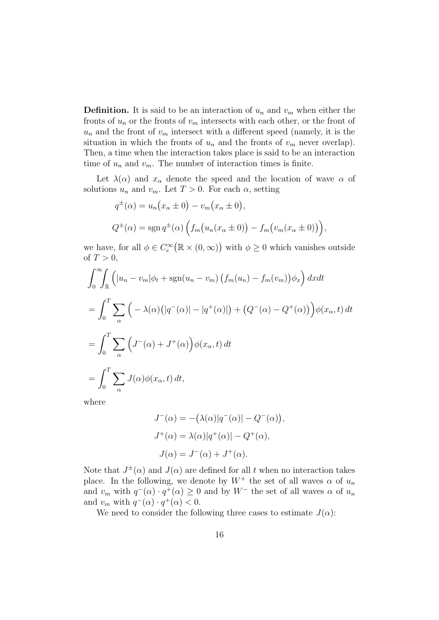**Definition.** It is said to be an interaction of  $u_n$  and  $v_m$  when either the fronts of  $u_n$  or the fronts of  $v_m$  intersects with each other, or the front of  $u_n$  and the front of  $v_m$  intersect with a different speed (namely, it is the situation in which the fronts of  $u_n$  and the fronts of  $v_m$  never overlap). Then, a time when the interaction takes place is said to be an interaction time of  $u_n$  and  $v_m$ . The number of interaction times is finite.

Let  $\lambda(\alpha)$  and  $x_\alpha$  denote the speed and the location of wave  $\alpha$  of solutions  $u_n$  and  $v_m$ . Let  $T > 0$ . For each  $\alpha$ , setting

$$
q^{\pm}(\alpha) = u_n(x_{\alpha} \pm 0) - v_m(x_{\alpha} \pm 0),
$$
  
\n
$$
Q^{\pm}(\alpha) = \text{sgn } q^{\pm}(\alpha) \left( f_m(u_n(x_{\alpha} \pm 0)) - f_m(v_m(x_{\alpha} \pm 0)) \right),
$$

we have, for all  $\phi \in C_c^{\infty}(\mathbb{R} \times (0, \infty))$  with  $\phi \geq 0$  which vanishes outside of  $T>0$ ,

$$
\int_0^{\infty} \int_{\mathbb{R}} \left( |u_n - v_m| \phi_t + \text{sgn}(u_n - v_m) \left( f_m(u_n) - f_m(v_m) \right) \phi_x \right) dx dt
$$
  
= 
$$
\int_0^T \sum_{\alpha} \left( -\lambda(\alpha) \left( |q^-(\alpha)| - |q^+(\alpha)| \right) + \left( Q^-(\alpha) - Q^+(\alpha) \right) \right) \phi(x_\alpha, t) dt
$$
  
= 
$$
\int_0^T \sum_{\alpha} \left( J^-(\alpha) + J^+(\alpha) \right) \phi(x_\alpha, t) dt
$$
  
= 
$$
\int_0^T \sum_{\alpha} J(\alpha) \phi(x_\alpha, t) dt,
$$

where

$$
J^{-}(\alpha) = -(\lambda(\alpha)|q^{-}(\alpha)| - Q^{-}(\alpha)),
$$
  
\n
$$
J^{+}(\alpha) = \lambda(\alpha)|q^{+}(\alpha)| - Q^{+}(\alpha),
$$
  
\n
$$
J(\alpha) = J^{-}(\alpha) + J^{+}(\alpha).
$$

Note that  $J^{\pm}(\alpha)$  and  $J(\alpha)$  are defined for all *t* when no interaction takes place. In the following, we denote by  $W^+$  the set of all waves  $\alpha$  of  $u_n$ and  $v_m$  with  $q^-(\alpha) \cdot q^+(\alpha) \geq 0$  and by  $W^-$  the set of all waves  $\alpha$  of  $u_n$ and  $v_m$  with  $q^-(\alpha) \cdot q^+(\alpha) < 0$ .

We need to consider the following three cases to estimate  $J(\alpha)$ :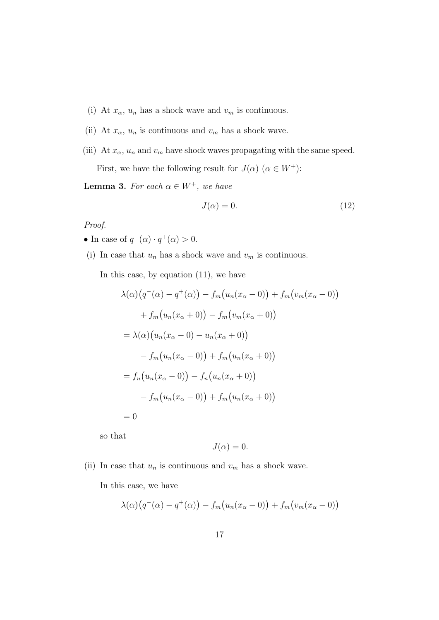- (i) At  $x_{\alpha}$ ,  $u_{n}$  has a shock wave and  $v_{m}$  is continuous.
- (ii) At  $x_{\alpha}$ ,  $u_{n}$  is continuous and  $v_{m}$  has a shock wave.
- (iii) At  $x_{\alpha}$ ,  $u_{n}$  and  $v_{m}$  have shock waves propagating with the same speed.

First, we have the following result for  $J(\alpha)$  ( $\alpha \in W^+$ ):

**Lemma 3.** *For each*  $\alpha \in W^+$ *, we have* 

$$
J(\alpha) = 0.\t(12)
$$

#### *Proof.*

- In case of  $q^-(\alpha) \cdot q^+(\alpha) > 0$ .
- (i) In case that  $u_n$  has a shock wave and  $v_m$  is continuous.

In this case, by equation (11), we have

$$
\lambda(\alpha)\big(q^{-}(\alpha) - q^{+}(\alpha)\big) - f_{m}\big(u_{n}(x_{\alpha} - 0)\big) + f_{m}\big(v_{m}(x_{\alpha} - 0)\big) \n+ f_{m}\big(u_{n}(x_{\alpha} + 0)\big) - f_{m}\big(v_{m}(x_{\alpha} + 0)\big) \n= \lambda(\alpha)\big(u_{n}(x_{\alpha} - 0) - u_{n}(x_{\alpha} + 0)\big) \n- f_{m}\big(u_{n}(x_{\alpha} - 0)\big) + f_{m}\big(u_{n}(x_{\alpha} + 0)\big) \n= f_{n}\big(u_{n}(x_{\alpha} - 0)\big) - f_{n}\big(u_{n}(x_{\alpha} + 0)\big) \n- f_{m}\big(u_{n}(x_{\alpha} - 0)\big) + f_{m}\big(u_{n}(x_{\alpha} + 0)\big) \n= 0
$$

so that

$$
J(\alpha) = 0.
$$

(ii) In case that  $u_n$  is continuous and  $v_m$  has a shock wave.

In this case, we have

$$
\lambda(\alpha)\big(q^-(\alpha)-q^+(\alpha)\big)-f_m\big(u_n(x_\alpha-0)\big)+f_m\big(v_m(x_\alpha-0)\big)
$$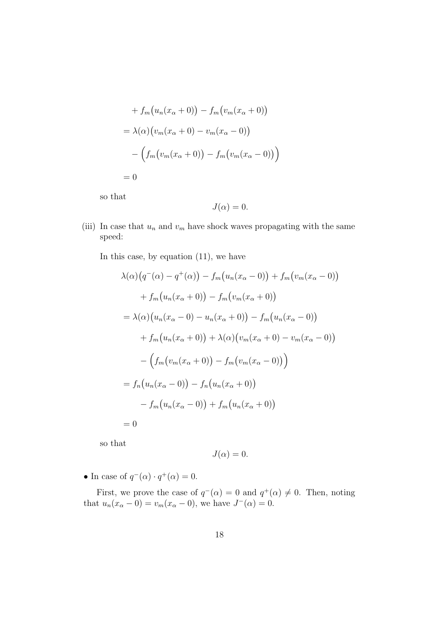+ 
$$
f_m(u_n(x_\alpha + 0)) - f_m(v_m(x_\alpha + 0))
$$
  
\n=  $\lambda(\alpha) (v_m(x_\alpha + 0) - v_m(x_\alpha - 0))$   
\n-  $(f_m(v_m(x_\alpha + 0)) - f_m(v_m(x_\alpha - 0)))$   
\n= 0

so that

$$
J(\alpha) = 0.
$$

(iii) In case that  $u_n$  and  $v_m$  have shock waves propagating with the same speed:

In this case, by equation (11), we have

$$
\lambda(\alpha)\big(q^{-}(\alpha) - q^{+}(\alpha)\big) - f_{m}\big(u_{n}(x_{\alpha} - 0)\big) + f_{m}\big(v_{m}(x_{\alpha} - 0)\big) \n+ f_{m}\big(u_{n}(x_{\alpha} + 0)\big) - f_{m}\big(v_{m}(x_{\alpha} + 0)\big) \n= \lambda(\alpha)\big(u_{n}(x_{\alpha} - 0) - u_{n}(x_{\alpha} + 0)\big) - f_{m}\big(u_{n}(x_{\alpha} - 0)\big) \n+ f_{m}\big(u_{n}(x_{\alpha} + 0)\big) + \lambda(\alpha)\big(v_{m}(x_{\alpha} + 0) - v_{m}(x_{\alpha} - 0)\big) \n- \Big(f_{m}\big(v_{m}(x_{\alpha} + 0)\big) - f_{m}\big(v_{m}(x_{\alpha} - 0)\big)\Big) \n= f_{n}\big(u_{n}(x_{\alpha} - 0)\big) - f_{n}\big(u_{n}(x_{\alpha} + 0)\big) \n- f_{m}\big(u_{n}(x_{\alpha} - 0)\big) + f_{m}\big(u_{n}(x_{\alpha} + 0)\big) \n= 0
$$

so that

$$
J(\alpha) = 0.
$$

• In case of  $q^{-}(\alpha) \cdot q^{+}(\alpha) = 0$ .

First, we prove the case of  $q^{-}(\alpha) = 0$  and  $q^{+}(\alpha) \neq 0$ . Then, noting that  $u_n(x_\alpha - 0) = v_m(x_\alpha - 0)$ , we have  $J^-(\alpha) = 0$ .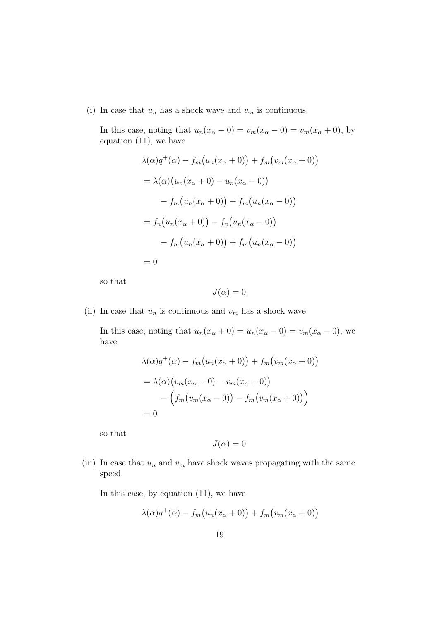(i) In case that  $u_n$  has a shock wave and  $v_m$  is continuous.

In this case, noting that  $u_n(x_\alpha - 0) = v_m(x_\alpha - 0) = v_m(x_\alpha + 0)$ , by equation (11), we have

$$
\lambda(\alpha)q^{+}(\alpha) - f_{m}(u_{n}(x_{\alpha} + 0)) + f_{m}(v_{m}(x_{\alpha} + 0))
$$
  
=  $\lambda(\alpha)(u_{n}(x_{\alpha} + 0) - u_{n}(x_{\alpha} - 0))$   
 $- f_{m}(u_{n}(x_{\alpha} + 0)) + f_{m}(u_{n}(x_{\alpha} - 0))$   
=  $f_{n}(u_{n}(x_{\alpha} + 0)) - f_{n}(u_{n}(x_{\alpha} - 0))$   
 $- f_{m}(u_{n}(x_{\alpha} + 0)) + f_{m}(u_{n}(x_{\alpha} - 0))$   
= 0

so that

$$
J(\alpha) = 0.
$$

(ii) In case that  $u_n$  is continuous and  $v_m$  has a shock wave.

In this case, noting that  $u_n(x_\alpha + 0) = u_n(x_\alpha - 0) = v_m(x_\alpha - 0)$ , we have

$$
\lambda(\alpha)q^{+}(\alpha) - f_{m}(u_{n}(x_{\alpha}+0)) + f_{m}(v_{m}(x_{\alpha}+0))
$$
  
=  $\lambda(\alpha)(v_{m}(x_{\alpha}-0) - v_{m}(x_{\alpha}+0))$   
 $- (f_{m}(v_{m}(x_{\alpha}-0)) - f_{m}(v_{m}(x_{\alpha}+0)))$   
= 0

so that

$$
J(\alpha)=0.
$$

(iii) In case that  $u_n$  and  $v_m$  have shock waves propagating with the same speed.

In this case, by equation (11), we have

$$
\lambda(\alpha)q^{+}(\alpha) - f_{m}(u_{n}(x_{\alpha}+0)) + f_{m}(v_{m}(x_{\alpha}+0))
$$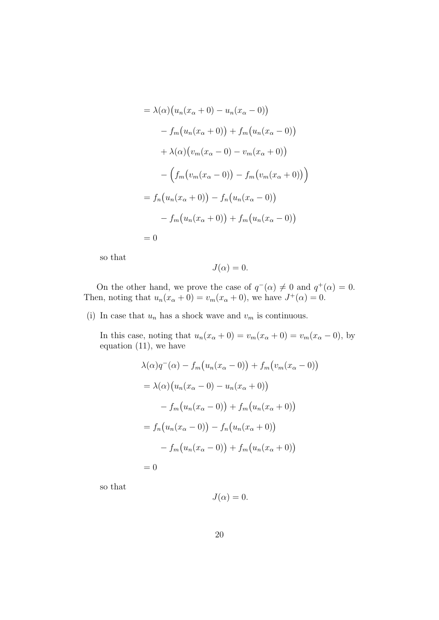$$
= \lambda(\alpha) (u_n(x_{\alpha} + 0) - u_n(x_{\alpha} - 0))
$$
  

$$
- f_m(u_n(x_{\alpha} + 0)) + f_m(u_n(x_{\alpha} - 0))
$$
  

$$
+ \lambda(\alpha) (v_m(x_{\alpha} - 0) - v_m(x_{\alpha} + 0))
$$
  

$$
- (f_m(v_m(x_{\alpha} - 0)) - f_m(v_m(x_{\alpha} + 0)) )
$$
  

$$
= f_n(u_n(x_{\alpha} + 0)) - f_n(u_n(x_{\alpha} - 0))
$$
  

$$
- f_m(u_n(x_{\alpha} + 0)) + f_m(u_n(x_{\alpha} - 0))
$$
  

$$
= 0
$$

so that

$$
J(\alpha)=0.
$$

On the other hand, we prove the case of  $q^{-}(\alpha) \neq 0$  and  $q^{+}(\alpha) = 0$ . Then, noting that  $u_n(x_\alpha + 0) = v_m(x_\alpha + 0)$ , we have  $J^+(\alpha) = 0$ .

(i) In case that  $u_n$  has a shock wave and  $v_m$  is continuous.

In this case, noting that  $u_n(x_\alpha + 0) = v_m(x_\alpha + 0) = v_m(x_\alpha - 0)$ , by equation (11), we have

$$
\lambda(\alpha)q^{-}(\alpha) - f_{m}(u_{n}(x_{\alpha} - 0)) + f_{m}(v_{m}(x_{\alpha} - 0))
$$
  
= 
$$
\lambda(\alpha) (u_{n}(x_{\alpha} - 0) - u_{n}(x_{\alpha} + 0))
$$
  

$$
- f_{m}(u_{n}(x_{\alpha} - 0)) + f_{m}(u_{n}(x_{\alpha} + 0))
$$
  
= 
$$
f_{n}(u_{n}(x_{\alpha} - 0)) - f_{n}(u_{n}(x_{\alpha} + 0))
$$
  

$$
- f_{m}(u_{n}(x_{\alpha} - 0)) + f_{m}(u_{n}(x_{\alpha} + 0))
$$
  
= 0

so that

$$
J(\alpha) = 0.
$$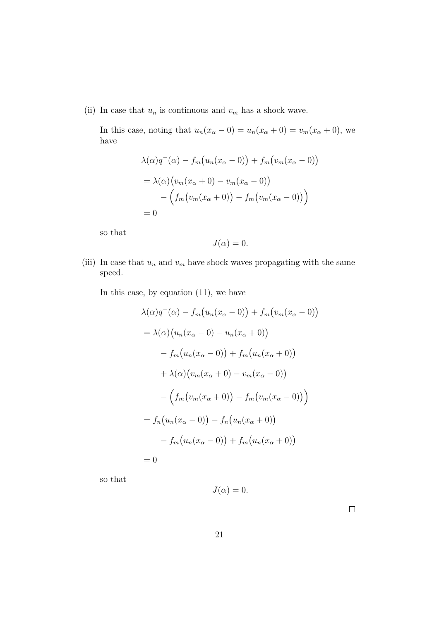(ii) In case that  $u_n$  is continuous and  $v_m$  has a shock wave.

In this case, noting that  $u_n(x_\alpha - 0) = u_n(x_\alpha + 0) = v_m(x_\alpha + 0)$ , we have

$$
\lambda(\alpha)q^{-}(\alpha) - f_{m}(u_{n}(x_{\alpha} - 0)) + f_{m}(v_{m}(x_{\alpha} - 0))
$$
  
= 
$$
\lambda(\alpha)(v_{m}(x_{\alpha} + 0) - v_{m}(x_{\alpha} - 0)) - (f_{m}(v_{m}(x_{\alpha} + 0)) - f_{m}(v_{m}(x_{\alpha} - 0)))
$$
  
= 0

so that

$$
J(\alpha) = 0.
$$

(iii) In case that  $u_n$  and  $v_m$  have shock waves propagating with the same speed.

In this case, by equation (11), we have

$$
\lambda(\alpha)q^{-}(\alpha) - f_{m}(u_{n}(x_{\alpha} - 0)) + f_{m}(v_{m}(x_{\alpha} - 0))
$$
  
\n
$$
= \lambda(\alpha) (u_{n}(x_{\alpha} - 0) - u_{n}(x_{\alpha} + 0))
$$
  
\n
$$
- f_{m}(u_{n}(x_{\alpha} - 0)) + f_{m}(u_{n}(x_{\alpha} + 0))
$$
  
\n
$$
+ \lambda(\alpha) (v_{m}(x_{\alpha} + 0) - v_{m}(x_{\alpha} - 0))
$$
  
\n
$$
- (f_{m}(v_{m}(x_{\alpha} + 0)) - f_{m}(v_{m}(x_{\alpha} - 0)))
$$
  
\n
$$
= f_{n}(u_{n}(x_{\alpha} - 0)) - f_{n}(u_{n}(x_{\alpha} + 0))
$$
  
\n
$$
- f_{m}(u_{n}(x_{\alpha} - 0)) + f_{m}(u_{n}(x_{\alpha} + 0))
$$
  
\n
$$
= 0
$$

so that

$$
J(\alpha) = 0.
$$

 $\hfill \square$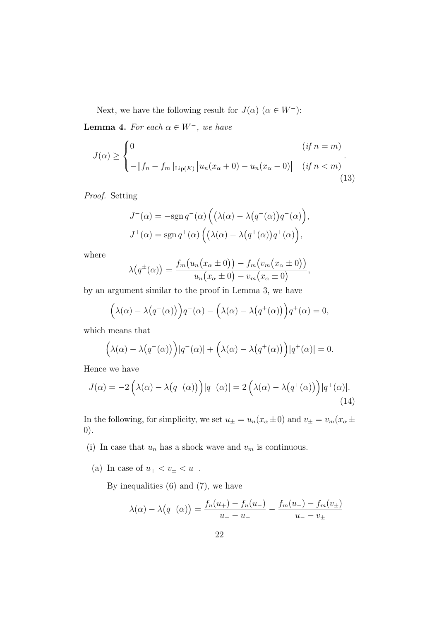Next, we have the following result for  $J(\alpha)$  ( $\alpha \in W^-$ ):

**Lemma 4.** For each  $\alpha \in W^-$ , we have

$$
J(\alpha) \ge \begin{cases} 0 & (if n = m) \\ -\|f_n - f_m\|_{\text{Lip}(K)} |u_n(x_\alpha + 0) - u_n(x_\alpha - 0)| & (if n < m) \\ (13) & (13) \end{cases}.
$$

*Proof.* Setting

$$
J^{-}(\alpha) = -\text{sgn } q^{-}(\alpha) \left( \left( \lambda(\alpha) - \lambda(q^{-}(\alpha))q^{-}(\alpha) \right), \right.J^{+}(\alpha) = \text{sgn } q^{+}(\alpha) \left( \left( \lambda(\alpha) - \lambda(q^{+}(\alpha))q^{+}(\alpha) \right), \right.
$$

where

$$
\lambda(q^{\pm}(\alpha)) = \frac{f_m(u_n(x_{\alpha} \pm 0)) - f_m(v_m(x_{\alpha} \pm 0))}{u_n(x_{\alpha} \pm 0) - v_m(x_{\alpha} \pm 0)},
$$

by an argument similar to the proof in Lemma 3, we have

$$
(\lambda(\alpha) - \lambda(q^-(\alpha))) q^-(\alpha) - (\lambda(\alpha) - \lambda(q^+(\alpha))) q^+(\alpha) = 0,
$$

which means that

$$
(\lambda(\alpha) - \lambda(q^-(\alpha))) |q^-(\alpha)| + (\lambda(\alpha) - \lambda(q^+(\alpha))) |q^+(\alpha)| = 0.
$$

Hence we have

$$
J(\alpha) = -2\left(\lambda(\alpha) - \lambda(q^{-}(\alpha))\right)|q^{-}(\alpha)| = 2\left(\lambda(\alpha) - \lambda(q^{+}(\alpha))\right)|q^{+}(\alpha)|.
$$
\n(14)

In the following, for simplicity, we set  $u_{\pm} = u_n(x_{\alpha} \pm 0)$  and  $v_{\pm} = v_m(x_{\alpha} \pm 0)$ 0).

- (i) In case that  $u_n$  has a shock wave and  $v_m$  is continuous.
	- (a) In case of  $u_{+} < v_{\pm} < u_{-}$ .

$$
\lambda(\alpha) - \lambda(q^{-}(\alpha)) = \frac{f_n(u_+) - f_n(u_-)}{u_+ - u_-} - \frac{f_m(u_-) - f_m(v_{\pm})}{u_- - v_{\pm}}
$$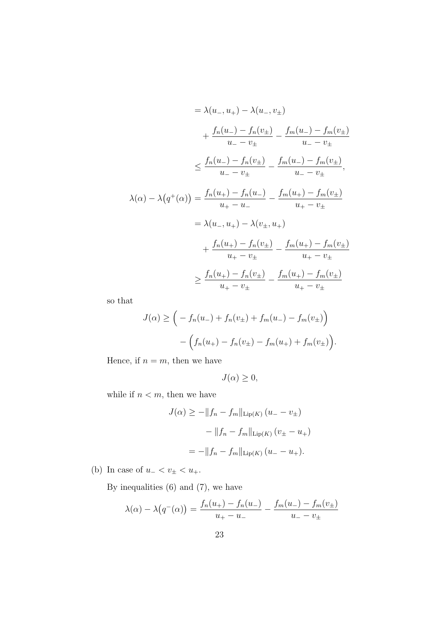$$
= \lambda(u_-, u_+) - \lambda(u_-, v_{\pm})
$$
  
+  $\frac{f_n(u_-) - f_n(v_{\pm})}{u_- - v_{\pm}} - \frac{f_m(u_-) - f_m(v_{\pm})}{u_- - v_{\pm}}$   

$$
\leq \frac{f_n(u_-) - f_n(v_{\pm})}{u_- - v_{\pm}} - \frac{f_m(u_-) - f_m(v_{\pm})}{u_- - v_{\pm}},
$$
  

$$
\lambda(\alpha) - \lambda(q^+(\alpha)) = \frac{f_n(u_+) - f_n(u_-)}{u_+ - u_-} - \frac{f_m(u_+) - f_m(v_{\pm})}{u_+ - v_{\pm}}
$$
  

$$
= \lambda(u_-, u_+) - \lambda(v_{\pm}, u_+)
$$
  
+  $\frac{f_n(u_+) - f_n(v_{\pm})}{u_+ - v_{\pm}} - \frac{f_m(u_+) - f_m(v_{\pm})}{u_+ - v_{\pm}}$   

$$
\geq \frac{f_n(u_+) - f_n(v_{\pm})}{u_+ - v_{\pm}} - \frac{f_m(u_+) - f_m(v_{\pm})}{u_+ - v_{\pm}}
$$

so that

$$
J(\alpha) \geq \Big( -f_n(u_-) + f_n(v_{\pm}) + f_m(u_-) - f_m(v_{\pm}) \Big) - \Big( f_n(u_+) - f_n(v_{\pm}) - f_m(u_+) + f_m(v_{\pm}) \Big).
$$

Hence, if  $n = m$ , then we have

$$
J(\alpha) \geq 0,
$$

while if  $n < m$ , then we have

$$
J(\alpha) \ge -||f_n - f_m||_{\text{Lip}(K)} (u_- - v_\pm)
$$
  
- ||f\_n - f\_m||\_{\text{Lip}(K)} (v\_\pm - u\_+)  
= -||f\_n - f\_m||\_{\text{Lip}(K)} (u\_- - u\_+).

(b) In case of  $u_{-} < v_{\pm} < u_{+}$ .

$$
\lambda(\alpha) - \lambda(q^{-}(\alpha)) = \frac{f_n(u_+) - f_n(u_-)}{u_+ - u_-} - \frac{f_m(u_-) - f_m(v_{\pm})}{u_- - v_{\pm}}
$$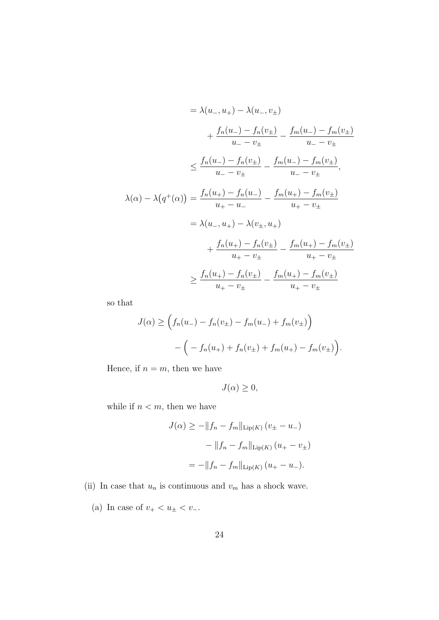$$
= \lambda (u_{-}, u_{+}) - \lambda (u_{-}, v_{\pm})
$$
  
+ 
$$
\frac{f_n(u_{-}) - f_n(v_{\pm})}{u_{-} - v_{\pm}} - \frac{f_m(u_{-}) - f_m(v_{\pm})}{u_{-} - v_{\pm}}
$$
  

$$
\leq \frac{f_n(u_{-}) - f_n(v_{\pm})}{u_{-} - v_{\pm}} - \frac{f_m(u_{-}) - f_m(v_{\pm})}{u_{-} - v_{\pm}},
$$
  

$$
\lambda(\alpha) - \lambda(q^+(\alpha)) = \frac{f_n(u_{+}) - f_n(u_{-})}{u_{+} - u_{-}} - \frac{f_m(u_{+}) - f_m(v_{\pm})}{u_{+} - v_{\pm}}
$$
  

$$
= \lambda(u_{-}, u_{+}) - \lambda(v_{\pm}, u_{+})
$$
  

$$
+ \frac{f_n(u_{+}) - f_n(v_{\pm})}{u_{+} - v_{\pm}} - \frac{f_m(u_{+}) - f_m(v_{\pm})}{u_{+} - v_{\pm}}
$$
  

$$
\geq \frac{f_n(u_{+}) - f_n(v_{\pm})}{u_{+} - v_{\pm}} - \frac{f_m(u_{+}) - f_m(v_{\pm})}{u_{+} - v_{\pm}}
$$

so that

$$
J(\alpha) \ge \left( f_n(u_-) - f_n(v_{\pm}) - f_m(u_-) + f_m(v_{\pm}) \right)
$$

$$
- \left( -f_n(u_+) + f_n(v_{\pm}) + f_m(u_+) - f_m(v_{\pm}) \right).
$$

Hence, if  $n = m$ , then we have

$$
J(\alpha) \geq 0,
$$

while if  $n < m$ , then we have

$$
J(\alpha) \ge -||f_n - f_m||_{\text{Lip}(K)} (v_{\pm} - u_{-})
$$

$$
-||f_n - f_m||_{\text{Lip}(K)} (u_{+} - v_{\pm})
$$

$$
= -||f_n - f_m||_{\text{Lip}(K)} (u_{+} - u_{-}).
$$

- (ii) In case that  $u_n$  is continuous and  $v_m$  has a shock wave.
	- (a) In case of  $v_{+} < u_{\pm} < v_{-}$ .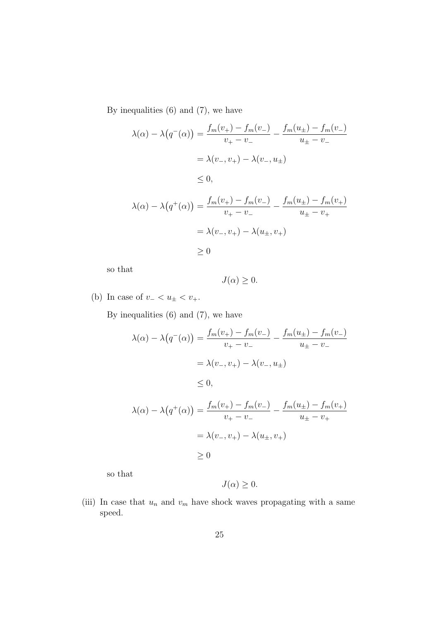By inequalities (6) and (7), we have

$$
\lambda(\alpha) - \lambda(q^{-}(\alpha)) = \frac{f_m(v_+) - f_m(v_-)}{v_+ - v_-} - \frac{f_m(u_{\pm}) - f_m(v_-)}{u_{\pm} - v_-}
$$
  
\n
$$
= \lambda(v_-, v_+) - \lambda(v_-, u_{\pm})
$$
  
\n
$$
\leq 0,
$$
  
\n
$$
\lambda(\alpha) - \lambda(q^{+}(\alpha)) = \frac{f_m(v_+) - f_m(v_-)}{v_+ - v_-} - \frac{f_m(u_{\pm}) - f_m(v_+)}{u_{\pm} - v_+}
$$
  
\n
$$
= \lambda(v_-, v_+) - \lambda(u_{\pm}, v_+)
$$
  
\n
$$
\geq 0
$$

so that

$$
J(\alpha) \geq 0.
$$

(b) In case of  $v$ <sup>*-*</sup>  $< u$ <sup> $\pm$ </sup>  $< v$ <sup> $+$ </sup>.

By inequalities (6) and (7), we have

$$
\lambda(\alpha) - \lambda(q^-(\alpha)) = \frac{f_m(v_+) - f_m(v_-)}{v_+ - v_-} - \frac{f_m(u_\pm) - f_m(v_-)}{u_\pm - v_-}
$$

$$
= \lambda(v_-, v_+) - \lambda(v_-, u_\pm)
$$

$$
\leq 0,
$$

$$
\lambda(\alpha) - \lambda(q^+(\alpha)) = \frac{f_m(v_+) - f_m(v_-)}{v_+ - v_-} - \frac{f_m(u_\pm) - f_m(v_+)}{u_\pm - v_+}
$$

$$
= \lambda(v_-, v_+) - \lambda(u_\pm, v_+)
$$

$$
\geq 0
$$

so that

$$
J(\alpha) \geq 0.
$$

(iii) In case that  $u_n$  and  $v_m$  have shock waves propagating with a same speed.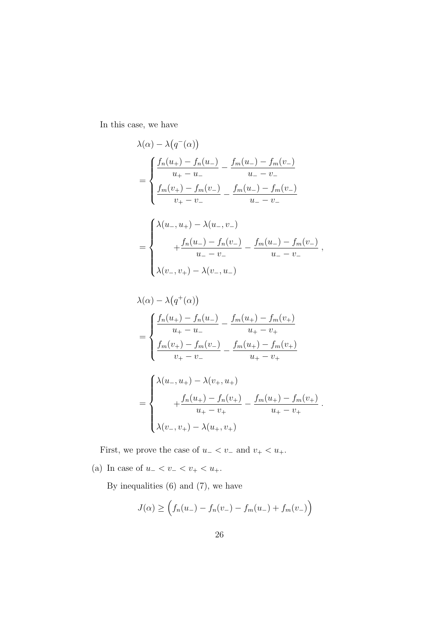In this case, we have

$$
\lambda(\alpha) - \lambda(q^{-}(\alpha))
$$
\n
$$
= \begin{cases}\n\frac{f_n(u_+) - f_n(u_-)}{u_+ - u_-} - \frac{f_m(u_-) - f_m(v_-)}{u_- - v_-} \\
\frac{f_m(v_+) - f_m(v_-)}{v_+ - v_-} - \frac{f_m(u_-) - f_m(v_-)}{u_- - v_-} \\
\frac{f_n(u_-) - f_n(v_-)}{u_- - v_-} - \frac{f_m(u_-) - f_m(v_-)}{u_- - v_-} \\
\lambda(v_-, v_+) - \lambda(v_-, u_-)\n\end{cases}
$$

$$
\lambda(\alpha) - \lambda(q^+(\alpha))
$$
\n
$$
= \begin{cases}\n\frac{f_n(u_+) - f_n(u_-)}{u_+ - u_-} - \frac{f_m(u_+) - f_m(v_+)}{u_+ - v_+} \\
\frac{f_m(v_+) - f_m(v_-)}{v_+ - v_-} - \frac{f_m(u_+) - f_m(v_+)}{u_+ - v_+} \\
\frac{1}{\alpha} \lambda(u_-, u_+) - \lambda(v_+, u_+) \\
+ \frac{f_n(u_+) - f_n(v_+)}{u_+ - v_+} - \frac{f_m(u_+) - f_m(v_+)}{u_+ - v_+} \\
\lambda(v_-, v_+) - \lambda(u_+, v_+)\n\end{cases}
$$

First, we prove the case of  $u$ <sup>*−*</sup>  $< v$ <sup>*−*</sup> and  $v$ <sup>+</sup>  $< u$ <sup>+</sup>.

(a) In case of  $u_{-} < v_{-} < v_{+} < u_{+}$ .

$$
J(\alpha) \ge \left( f_n(u_-) - f_n(v_-) - f_m(u_-) + f_m(v_-) \right)
$$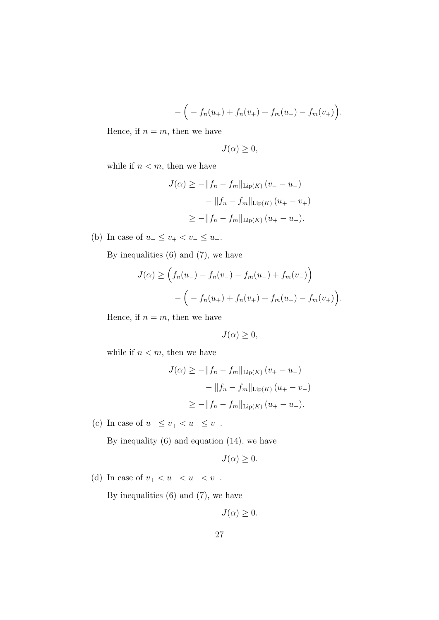$$
-\Big(-f_n(u_+) + f_n(v_+) + f_m(u_+) - f_m(v_+)\Big).
$$

Hence, if  $n = m$ , then we have

$$
J(\alpha) \geq 0,
$$

while if  $n < m$ , then we have

$$
J(\alpha) \ge -\|f_n - f_m\|_{\text{Lip}(K)} (v_- - u_-)
$$

$$
-\|f_n - f_m\|_{\text{Lip}(K)} (u_+ - v_+)
$$

$$
\ge -\|f_n - f_m\|_{\text{Lip}(K)} (u_+ - u_-).
$$

(b) In case of  $u_-\leq v_+ < v_-\leq u_+$ .

By inequalities (6) and (7), we have

$$
J(\alpha) \ge \left( f_n(u_-) - f_n(v_-) - f_m(u_-) + f_m(v_-) \right)
$$
  
-  $\left( -f_n(u_+) + f_n(v_+) + f_m(u_+) - f_m(v_+) \right).$ 

Hence, if  $n = m$ , then we have

$$
J(\alpha) \geq 0,
$$

while if  $n < m$ , then we have

$$
J(\alpha) \ge -\|f_n - f_m\|_{\text{Lip}(K)} (v_+ - u_-)
$$
  
- 
$$
\|f_n - f_m\|_{\text{Lip}(K)} (u_+ - v_-)
$$
  

$$
\ge -\|f_n - f_m\|_{\text{Lip}(K)} (u_+ - u_-).
$$

(c) In case of  $u_-\leq v_+ < u_+ \leq v_-.$ 

By inequality (6) and equation (14), we have

$$
J(\alpha) \geq 0.
$$

(d) In case of  $v_{+} < u_{+} < u_{-} < v_{-}$ .

$$
J(\alpha) \geq 0.
$$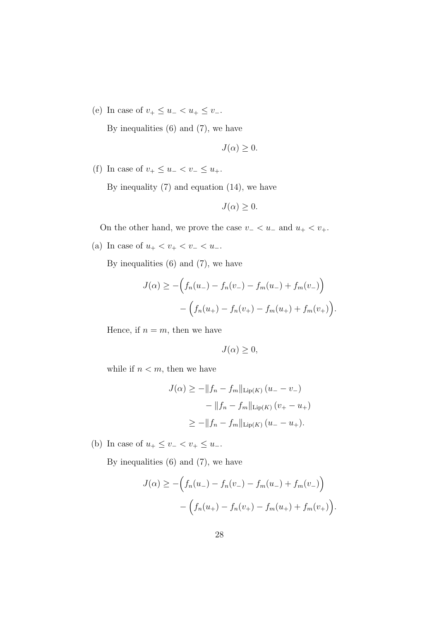(e) In case of  $v_+ \leq u_- < u_+ \leq v_-.$ 

By inequalities (6) and (7), we have

$$
J(\alpha) \geq 0.
$$

(f) In case of  $v_+ \leq u_- < v_- \leq u_+$ .

By inequality  $(7)$  and equation  $(14)$ , we have

$$
J(\alpha) \geq 0.
$$

On the other hand, we prove the case  $v$ <sub>−</sub>  $< u$ <sub>−</sub> and  $u$ <sub>+</sub>  $< v$ <sub>+</sub>.

(a) In case of  $u_+ < v_+ < v_- < u_-$ .

By inequalities  $(6)$  and  $(7)$ , we have

$$
J(\alpha) \ge -\Big(f_n(u_-) - f_n(v_-) - f_m(u_-) + f_m(v_-)\Big) - \Big(f_n(u_+) - f_n(v_+) - f_m(u_+) + f_m(v_+)\Big).
$$

Hence, if  $n = m$ , then we have

$$
J(\alpha) \geq 0,
$$

while if  $n < m$ , then we have

$$
J(\alpha) \ge -||f_n - f_m||_{\text{Lip}(K)} (u_- - v_-)
$$
  
- ||f\_n - f\_m||\_{\text{Lip}(K)} (v\_+ - u\_+)  

$$
\ge -||f_n - f_m||_{\text{Lip}(K)} (u_- - u_+).
$$

(b) In case of  $u_+ \le v_- < v_+ \le u_-$ .

$$
J(\alpha) \ge -\Big(f_n(u_-) - f_n(v_-) - f_m(u_-) + f_m(v_-)\Big) - \Big(f_n(u_+) - f_n(v_+) - f_m(u_+) + f_m(v_+)\Big).
$$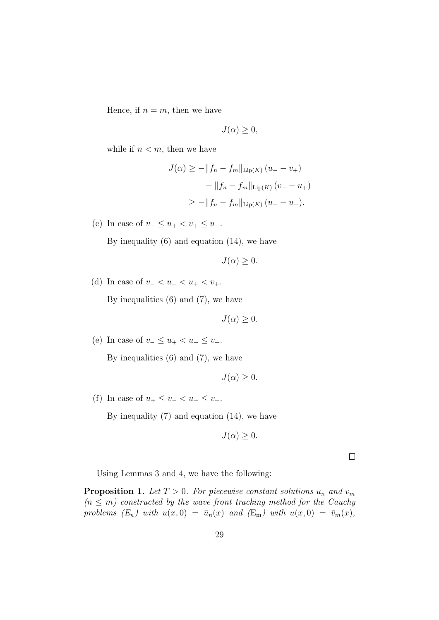Hence, if  $n = m$ , then we have

$$
J(\alpha) \geq 0,
$$

while if  $n < m$ , then we have

$$
J(\alpha) \ge -\|f_n - f_m\|_{\text{Lip}(K)} (u_- - v_+)
$$
  
- 
$$
\|f_n - f_m\|_{\text{Lip}(K)} (v_- - u_+)
$$
  

$$
\ge -\|f_n - f_m\|_{\text{Lip}(K)} (u_- - u_+).
$$

(c) In case of  $v_-\leq u_+ < v_+ \leq u_-.$ 

By inequality  $(6)$  and equation  $(14)$ , we have

$$
J(\alpha) \geq 0.
$$

(d) In case of  $v_-\lt u_-\lt u_+ < v_+$ .

By inequalities (6) and (7), we have

 $J(\alpha) \geq 0$ .

(e) In case of  $v_-\leq u_+ < u_-\leq v_+$ .

By inequalities  $(6)$  and  $(7)$ , we have

$$
J(\alpha) \geq 0.
$$

(f) In case of  $u_+ \leq v_- < u_- \leq v_+$ .

By inequality (7) and equation (14), we have

$$
J(\alpha) \geq 0.
$$

 $\Box$ 

Using Lemmas 3 and 4, we have the following:

**Proposition 1.** *Let*  $T > 0$ *. For piecewise constant solutions*  $u_n$  *and*  $v_m$  $(n \leq m)$  constructed by the wave front tracking method for the Cauchy *problems*  $(E_n)$  with  $u(x, 0) = \bar{u}_n(x)$  and  $(E_m)$  with  $u(x, 0) = \bar{v}_m(x)$ ,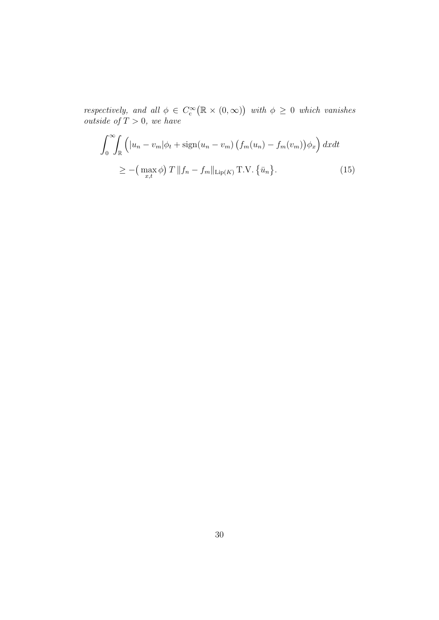*respectively, and all*  $\phi \in C_c^{\infty}(\mathbb{R} \times (0, \infty))$  *with*  $\phi \geq 0$  *which vanishes outside of*  $T > 0$ *, we have* 

$$
\int_0^\infty \int_{\mathbb{R}} \left( |u_n - v_m| \phi_t + \text{sign}(u_n - v_m) \left( f_m(u_n) - f_m(v_m) \right) \phi_x \right) dx dt
$$
  
 
$$
\geq - \left( \max_{x, t} \phi \right) T \| f_n - f_m \|_{\text{Lip}(K)} \text{T.V.} \left\{ \bar{u}_n \right\}. \tag{15}
$$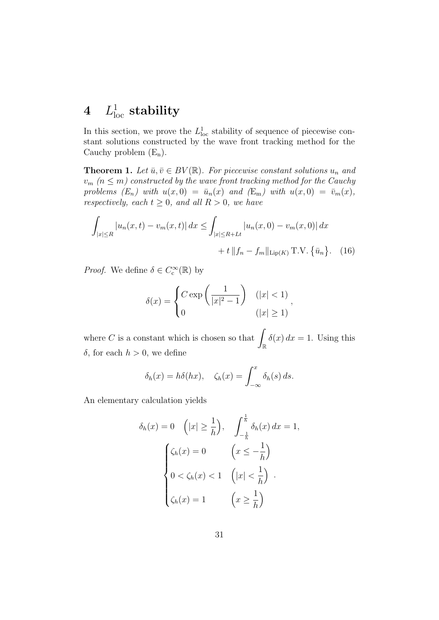# $4$   $L^1_{\rm loc}$  stability

In this section, we prove the  $L<sub>loc</sub>$  stability of sequence of piecewise constant solutions constructed by the wave front tracking method for the Cauchy problem  $(E_n)$ .

**Theorem 1.** *Let*  $\bar{u}, \bar{v} \in BV(\mathbb{R})$ *. For piecewise constant solutions*  $u_n$  *and*  $v_m$  ( $n \leq m$ ) constructed by the wave front tracking method for the Cauchy *problems*  $(E_n)$  with  $u(x, 0) = \bar{u}_n(x)$  and  $(E_m)$  with  $u(x, 0) = \bar{v}_m(x)$ , *respectively, each*  $t \geq 0$ *, and all*  $R > 0$ *, we have* 

$$
\int_{|x| \le R} |u_n(x, t) - v_m(x, t)| dx \le \int_{|x| \le R + Lt} |u_n(x, 0) - v_m(x, 0)| dx
$$
  
+ t ||f<sub>n</sub> - f<sub>m</sub>||<sub>Lip(K)</sub> T.V. { $\bar{u}_n$ }. (16)

*Proof.* We define  $\delta \in C_c^{\infty}(\mathbb{R})$  by

$$
\delta(x) = \begin{cases} C \exp\left(\frac{1}{|x|^2 - 1}\right) & (|x| < 1) \\ 0 & (|x| \ge 1) \end{cases}
$$

where  $C$  is a constant which is chosen so that R  $\delta(x) dx = 1$ . Using this *δ*, for each  $h > 0$ , we define

$$
\delta_h(x) = h\delta(hx), \quad \zeta_h(x) = \int_{-\infty}^x \delta_h(s) \, ds.
$$

An elementary calculation yields

$$
\delta_h(x) = 0 \quad (|x| \ge \frac{1}{h}), \quad \int_{-\frac{1}{h}}^{\frac{1}{h}} \delta_h(x) dx = 1,
$$

$$
\begin{cases} \zeta_h(x) = 0 & \left(x \le -\frac{1}{h}\right) \\ 0 < \zeta_h(x) < 1 \quad \left(|x| < \frac{1}{h}\right) \\ \zeta_h(x) = 1 & \left(x \ge \frac{1}{h}\right) \end{cases}
$$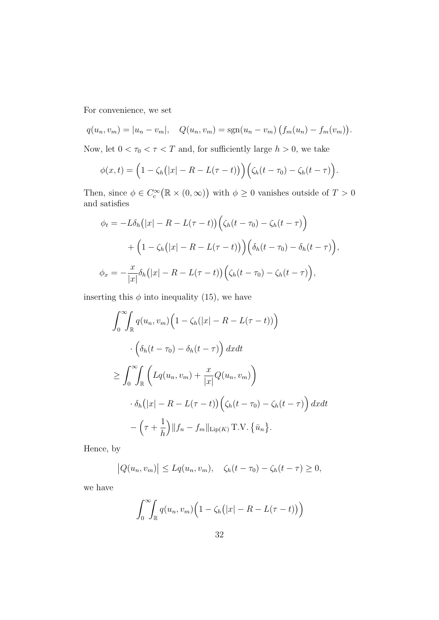For convenience, we set

$$
q(u_n, v_m) = |u_n - v_m|, \quad Q(u_n, v_m) = \text{sgn}(u_n - v_m) \left( f_m(u_n) - f_m(v_m) \right).
$$

Now, let  $0 < \tau_0 < \tau < T$  and, for sufficiently large  $h > 0$ , we take

$$
\phi(x,t) = \left(1 - \zeta_h(|x| - R - L(\tau - t))\right) \left(\zeta_h(t - \tau_0) - \zeta_h(t - \tau)\right).
$$

Then, since  $\phi \in C_c^{\infty}(\mathbb{R} \times (0, \infty))$  with  $\phi \geq 0$  vanishes outside of  $T > 0$ and satisfies

$$
\phi_t = -L\delta_h(|x| - R - L(\tau - t)) \Big( \zeta_h(t - \tau_0) - \zeta_h(t - \tau) \Big)
$$

$$
+ \Big( 1 - \zeta_h(|x| - R - L(\tau - t)) \Big) \Big( \delta_h(t - \tau_0) - \delta_h(t - \tau) \Big),
$$

$$
\phi_x = -\frac{x}{|x|} \delta_h(|x| - R - L(\tau - t)) \Big( \zeta_h(t - \tau_0) - \zeta_h(t - \tau) \Big),
$$

inserting this  $\phi$  into inequality (15), we have

$$
\int_0^{\infty} \int_{\mathbb{R}} q(u_n, v_m) \left( 1 - \zeta_h(|x| - R - L(\tau - t)) \right)
$$

$$
\cdot \left( \delta_h(t - \tau_0) - \delta_h(t - \tau) \right) dx dt
$$

$$
\geq \int_0^{\infty} \int_{\mathbb{R}} \left( Lq(u_n, v_m) + \frac{x}{|x|} Q(u_n, v_m) \right)
$$

$$
\cdot \delta_h(|x| - R - L(\tau - t)) \left( \zeta_h(t - \tau_0) - \zeta_h(t - \tau) \right) dx dt
$$

$$
- \left( \tau + \frac{1}{h} \right) ||f_n - f_m||_{\text{Lip}(K)} \text{T.V.} \left\{ \bar{u}_n \right\}.
$$

Hence, by

$$
|Q(u_n, v_m)| \le Lq(u_n, v_m), \quad \zeta_h(t - \tau_0) - \zeta_h(t - \tau) \ge 0,
$$

we have

$$
\int_0^\infty \int_{\mathbb{R}} q(u_n, v_m) \Big( 1 - \zeta_h(|x| - R - L(\tau - t)) \Big)
$$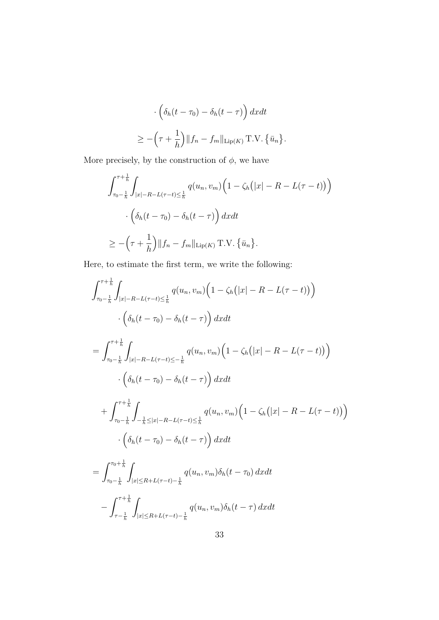$$
\left(\delta_h(t-\tau_0) - \delta_h(t-\tau)\right) dx dt
$$
  
\n
$$
\geq -\left(\tau + \frac{1}{h}\right) ||f_n - f_m||_{\text{Lip}(K)} \text{T.V.} \{\bar{u}_n\}.
$$

More precisely, by the construction of  $\phi$ , we have

$$
\int_{\tau_0 - \frac{1}{h}}^{\tau + \frac{1}{h}} \int_{|x| - R - L(\tau - t) \leq \frac{1}{h}} q(u_n, v_m) \left( 1 - \zeta_h(|x| - R - L(\tau - t)) \right)
$$

$$
\cdot \left( \delta_h(t - \tau_0) - \delta_h(t - \tau) \right) dx dt
$$

$$
\geq -\left( \tau + \frac{1}{h} \right) ||f_n - f_m||_{\text{Lip}(K)} \text{T.V.} \left\{ \bar{u}_n \right\}.
$$

Here, to estimate the first term, we write the following:

$$
\int_{\tau_0 - \frac{1}{h}}^{\tau + \frac{1}{h}} \int_{|x| - R - L(\tau - t) \leq \frac{1}{h}} q(u_n, v_m) \left( 1 - \zeta_h(|x| - R - L(\tau - t)) \right)
$$
  

$$
\cdot \left( \delta_h(t - \tau_0) - \delta_h(t - \tau) \right) dx dt
$$
  

$$
= \int_{\tau_0 - \frac{1}{h}}^{\tau + \frac{1}{h}} \int_{|x| - R - L(\tau - t) \leq -\frac{1}{h}} q(u_n, v_m) \left( 1 - \zeta_h(|x| - R - L(\tau - t)) \right)
$$
  

$$
\cdot \left( \delta_h(t - \tau_0) - \delta_h(t - \tau) \right) dx dt
$$
  

$$
+ \int_{\tau_0 - \frac{1}{h}}^{\tau + \frac{1}{h}} \int_{-\frac{1}{h} \leq |x| - R - L(\tau - t) \leq \frac{1}{h}} q(u_n, v_m) \left( 1 - \zeta_h(|x| - R - L(\tau - t)) \right)
$$
  

$$
\cdot \left( \delta_h(t - \tau_0) - \delta_h(t - \tau) \right) dx dt
$$
  

$$
= \int_{\tau_0 + \frac{1}{h}}^{\tau_0 + \frac{1}{h}} \int_{-\frac{1}{h} \leq |x| - R - L(\tau - t) \leq \frac{1}{h}} q(u_n, v_m) \delta_h(t - \tau_0) dx dt
$$

$$
= \int_{\tau_0 - \frac{1}{h}} \int_{|x| \le R + L(\tau - t) - \frac{1}{h}} q(u_n, v_m) \delta_h(t - \tau_0) \, dx dt
$$

$$
- \int_{\tau - \frac{1}{h}}^{\tau + \frac{1}{h}} \int_{|x| \le R + L(\tau - t) - \frac{1}{h}} q(u_n, v_m) \delta_h(t - \tau) \, dx dt
$$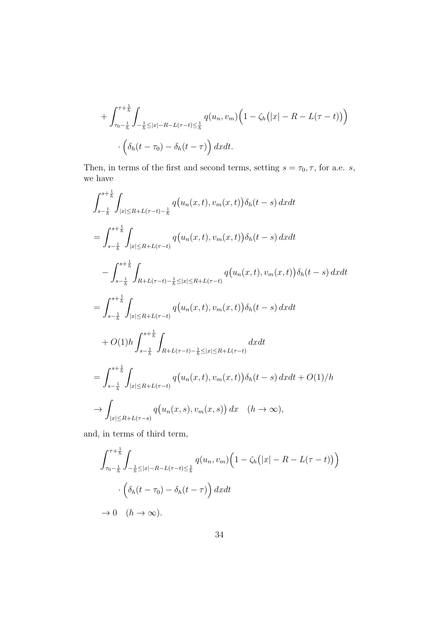$$
+\int_{\tau_0-\frac{1}{h}}^{\tau+\frac{1}{h}}\int_{-\frac{1}{h}\leq |x|-R-L(\tau-t)\leq \frac{1}{h}}q(u_n,v_m)\Big(1-\zeta_h(|x|-R-L(\tau-t))\Big)
$$

$$
\cdot\Big(\delta_h(t-\tau_0)-\delta_h(t-\tau)\Big)\,dxdt.
$$

Then, in terms of the first and second terms, setting  $s = \tau_0, \tau$ , for a.e. *s*, we have

$$
\int_{s-\frac{1}{h}}^{s+\frac{1}{h}} \int_{|x| \le R+L(\tau-t)-\frac{1}{h}} q(u_n(x,t), v_m(x,t)) \delta_h(t-s) dx dt
$$
  
\n
$$
= \int_{s-\frac{1}{h}}^{s+\frac{1}{h}} \int_{|x| \le R+L(\tau-t)} q(u_n(x,t), v_m(x,t)) \delta_h(t-s) dx dt
$$
  
\n
$$
- \int_{s-\frac{1}{h}}^{s+\frac{1}{h}} \int_{R+L(\tau-t)-\frac{1}{h} \le |x| \le R+L(\tau-t)} q(u_n(x,t), v_m(x,t)) \delta_h(t-s) dx dt
$$
  
\n
$$
= \int_{s-\frac{1}{h}}^{s+\frac{1}{h}} \int_{|x| \le R+L(\tau-t)} q(u_n(x,t), v_m(x,t)) \delta_h(t-s) dx dt
$$
  
\n
$$
+ O(1) h \int_{s-\frac{1}{h}}^{s+\frac{1}{h}} \int_{R+L(\tau-t)-\frac{1}{h} \le |x| \le R+L(\tau-t)} dx dt
$$
  
\n
$$
= \int_{s-\frac{1}{h}}^{s+\frac{1}{h}} \int_{|x| \le R+L(\tau-t)} q(u_n(x,t), v_m(x,t)) \delta_h(t-s) dx dt + O(1)/h
$$
  
\n
$$
\rightarrow \int_{|x| \le R+L(\tau-s)} q(u_n(x,s), v_m(x,s)) dx \quad (h \rightarrow \infty),
$$

and, in terms of third term,

$$
\int_{\tau_0 - \frac{1}{h}}^{\tau + \frac{1}{h}} \int_{-\frac{1}{h} \leq |x| - R - L(\tau - t) \leq \frac{1}{h}} q(u_n, v_m) \left( 1 - \zeta_h(|x| - R - L(\tau - t)) \right)
$$

$$
\cdot \left( \delta_h(t - \tau_0) - \delta_h(t - \tau) \right) dx dt
$$

$$
\to 0 \quad (h \to \infty).
$$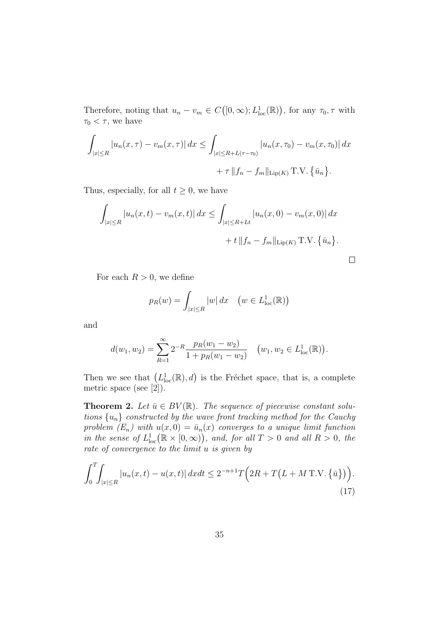Therefore, noting that  $u_n - v_m \in C([0,\infty); L^1_{loc}(\mathbb{R}))$ , for any  $\tau_0, \tau$  with  $\tau_0 < \tau$ , we have

$$
\int_{|x| \le R} |u_n(x,\tau) - v_m(x,\tau)| dx \le \int_{|x| \le R + L(\tau - \tau_0)} |u_n(x,\tau_0) - v_m(x,\tau_0)| dx
$$
  
+  $\tau ||f_n - f_m||_{\text{Lip}(K)} \text{T.V.} {\bar{u}_n}.$ 

Thus, especially, for all  $t \geq 0$ , we have

$$
\int_{|x| \le R} |u_n(x, t) - v_m(x, t)| dx \le \int_{|x| \le R + Lt} |u_n(x, 0) - v_m(x, 0)| dx
$$
  
+ t ||f<sub>n</sub> - f<sub>m</sub>||<sub>Lip(K)</sub> T.V. { $\bar{u}_n$  }.

 $\Box$ 

For each  $R > 0$ , we define

$$
p_R(w) = \int_{|x| \le R} |w| dx \quad \left(w \in L^1_{loc}(\mathbb{R})\right)
$$

and

$$
d(w_1, w_2) = \sum_{R=1}^{\infty} 2^{-R} \frac{p_R(w_1 - w_2)}{1 + p_R(w_1 - w_2)} \quad (w_1, w_2 \in L^1_{loc}(\mathbb{R})).
$$

Then we see that  $(L^1_{loc}(\mathbb{R}), d)$  is the Fréchet space, that is, a complete metric space (see [2]).

**Theorem 2.** *Let*  $\bar{u} \in BV(\mathbb{R})$ . *The sequence of piecewise constant solutions*  $\{u_n\}$  *constructed by the wave front tracking method for the Cauchy problem*  $(E_n)$  with  $u(x, 0) = \bar{u}_n(x)$  *converges to a unique limit function*  $\int$ *in the sense of*  $L^1_{loc}(\mathbb{R} \times [0, \infty))$ *, and, for all*  $T > 0$  *and all*  $R > 0$ *, the rate of convergence to the limit u is given by*

$$
\int_0^T \int_{|x| \le R} |u_n(x, t) - u(x, t)| \, dx dt \le 2^{-n+1} T \Big( 2R + T \big( L + M \, \text{T.V.} \left\{ \bar{u} \right\} \big) \Big). \tag{17}
$$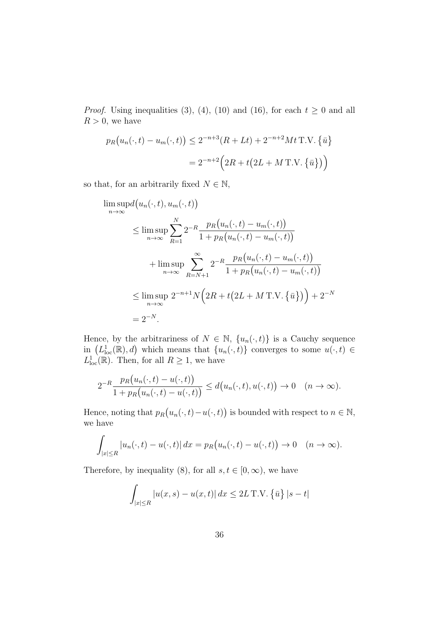*Proof.* Using inequalities (3), (4), (10) and (16), for each  $t \geq 0$  and all  $R > 0$ , we have

$$
p_R(u_n(\cdot, t) - u_m(\cdot, t)) \le 2^{-n+3}(R + Lt) + 2^{-n+2}Mt \text{ T.V. } \{\bar{u}\}\
$$

$$
= 2^{-n+2}\Big(2R + t\big(2L + MT.V. \{\bar{u}\}\big)\Big)
$$

so that, for an arbitrarily fixed  $N \in \mathbb{N}$ ,

$$
\limsup_{n \to \infty} d(u_n(\cdot, t), u_m(\cdot, t))
$$
\n
$$
\leq \limsup_{n \to \infty} \sum_{R=1}^N 2^{-R} \frac{p_R(u_n(\cdot, t) - u_m(\cdot, t))}{1 + p_R(u_n(\cdot, t) - u_m(\cdot, t))}
$$
\n
$$
+ \limsup_{n \to \infty} \sum_{R=N+1}^{\infty} 2^{-R} \frac{p_R(u_n(\cdot, t) - u_m(\cdot, t))}{1 + p_R(u_n(\cdot, t) - u_m(\cdot, t))}
$$
\n
$$
\leq \limsup_{n \to \infty} 2^{-n+1} N \Big( 2R + t \big( 2L + M \mathop{\text{T.V.}} \{\bar{u}\}\big) \Big) + 2^{-N}
$$
\n
$$
= 2^{-N}.
$$

Hence, by the arbitrariness of  $N \in \mathbb{N}$ ,  $\{u_n(\cdot, t)\}\$ is a Cauchy sequence in  $(L_{loc}^{1}(\mathbb{R}), d)$  which means that  $\{u_n(\cdot, t)\}$  converges to some  $u(\cdot, t) \in$  $L^1_{\text{loc}}(\mathbb{R})$ . Then, for all  $R \geq 1$ , we have

$$
2^{-R}\frac{p_R(u_n(\cdot,t)-u(\cdot,t))}{1+p_R(u_n(\cdot,t)-u(\cdot,t))} \leq d(u_n(\cdot,t),u(\cdot,t)) \to 0 \quad (n \to \infty).
$$

Hence, noting that  $p_R(u_n(\cdot, t) - u(\cdot, t))$  is bounded with respect to  $n \in \mathbb{N}$ , we have

$$
\int_{|x| \le R} |u_n(\cdot, t) - u(\cdot, t)| dx = p_R(u_n(\cdot, t) - u(\cdot, t)) \to 0 \quad (n \to \infty).
$$

Therefore, by inequality (8), for all  $s, t \in [0, \infty)$ , we have

$$
\int_{|x| \le R} |u(x, s) - u(x, t)| \, dx \le 2L \, \text{T.V.} \left\{ \bar{u} \right\} |s - t|
$$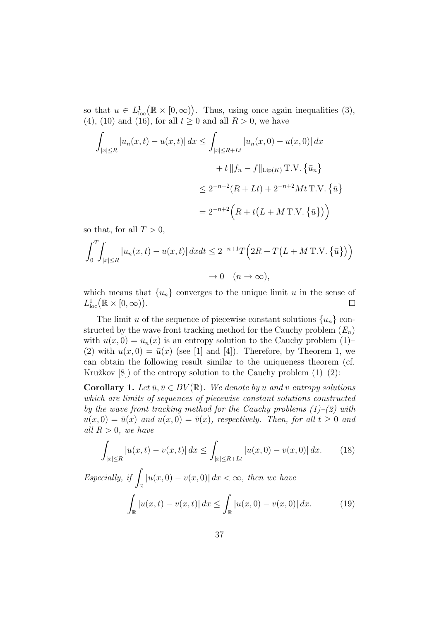so that  $u \in L^1_{loc}(\mathbb{R} \times [0, \infty))$ . Thus, using once again inequalities (3), (4), (10) and (16), for all  $t \ge 0$  and all  $R > 0$ , we have

$$
\int_{|x| \le R} |u_n(x, t) - u(x, t)| dx \le \int_{|x| \le R + Lt} |u_n(x, 0) - u(x, 0)| dx
$$
  
+  $t ||f_n - f||_{\text{Lip}(K)} \text{T.V.} {\bar{u}_n}$   

$$
\le 2^{-n+2} (R + Lt) + 2^{-n+2} Mt \text{T.V.} {\bar{u}} \}
$$
  
=  $2^{-n+2} (R + t(L + MT.V. {\bar{u}}))$ 

so that, for all  $T > 0$ ,

$$
\int_0^T \int_{|x| \le R} |u_n(x, t) - u(x, t)| \, dx dt \le 2^{-n+1} T \Big( 2R + T \big( L + M \, \text{T.V.} \left\{ \bar{u} \right\} \big) \Big)
$$
  

$$
\to 0 \quad (n \to \infty),
$$

which means that  $\{u_n\}$  converges to the unique limit *u* in the sense of  $L^1_{\text{loc}}(\mathbb{R} \times [0, \infty)).$  $\Box$ 

The limit *u* of the sequence of piecewise constant solutions  $\{u_n\}$  constructed by the wave front tracking method for the Cauchy problem (*En*) with  $u(x, 0) = \bar{u}_n(x)$  is an entropy solution to the Cauchy problem (1)– (2) with  $u(x,0) = \bar{u}(x)$  (see [1] and [4]). Therefore, by Theorem 1, we can obtain the following result similar to the uniqueness theorem (cf. Kružkov  $[8]$ ) of the entropy solution to the Cauchy problem  $(1)-(2)$ :

**Corollary 1.** Let  $\bar{u}, \bar{v} \in BV(\mathbb{R})$ . We denote by *u* and *v* entropy solutions *which are limits of sequences of piecewise constant solutions constructed by the wave front tracking method for the Cauchy problems (1)–(2) with*  $u(x,0) = \bar{u}(x)$  *and*  $u(x,0) = \bar{v}(x)$ *, respectively. Then, for all*  $t \geq 0$  *and all*  $R > 0$ *, we have* 

$$
\int_{|x| \le R} |u(x,t) - v(x,t)| \, dx \le \int_{|x| \le R + Lt} |u(x,0) - v(x,0)| \, dx. \tag{18}
$$

*Especially, if* R  $|u(x,0) - v(x,0)| dx < ∞$ , then we have R *|u*(*x, t*) *− v*(*x, t*)*| dx ≤* Z R  $|u(x,0) - v(x,0)| dx.$  (19)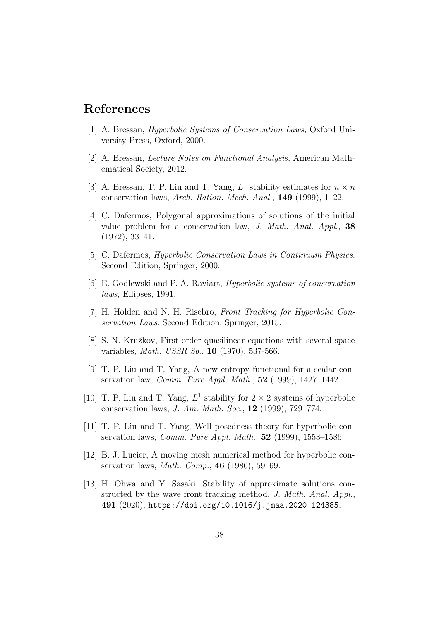## **References**

- [1] A. Bressan, *Hyperbolic Systems of Conservation Laws,* Oxford University Press, Oxford, 2000.
- [2] A. Bressan, *Lecture Notes on Functional Analysis,* American Mathematical Society, 2012.
- [3] A. Bressan, T. P. Liu and T. Yang,  $L^1$  stability estimates for  $n \times n$ conservation laws, *Arch. Ration. Mech. Anal.*, **149** (1999), 1–22.
- [4] C. Dafermos, Polygonal approximations of solutions of the initial value problem for a conservation law, *J. Math. Anal. Appl.*, **38** (1972), 33–41.
- [5] C. Dafermos, *Hyperbolic Conservation Laws in Continuum Physics.* Second Edition, Springer, 2000.
- [6] E. Godlewski and P. A. Raviart, *Hyperbolic systems of conservation laws,* Ellipses, 1991.
- [7] H. Holden and N. H. Risebro, *Front Tracking for Hyperbolic Conservation Laws*. Second Edition, Springer, 2015.
- [8] S. N. Kružkov, First order quasilinear equations with several space variables, *Math. USSR Sb.*, **10** (1970), 537-566.
- [9] T. P. Liu and T. Yang, A new entropy functional for a scalar conservation law, *Comm. Pure Appl. Math.*, **52** (1999), 1427–1442.
- [10] T. P. Liu and T. Yang,  $L^1$  stability for  $2 \times 2$  systems of hyperbolic conservation laws, *J. Am. Math. Soc.*, **12** (1999), 729–774.
- [11] T. P. Liu and T. Yang, Well posedness theory for hyperbolic conservation laws, *Comm. Pure Appl. Math.*, **52** (1999), 1553–1586.
- [12] B. J. Lucier, A moving mesh numerical method for hyperbolic conservation laws, *Math. Comp.*, **46** (1986), 59–69.
- [13] H. Ohwa and Y. Sasaki, Stability of approximate solutions constructed by the wave front tracking method, *J. Math. Anal. Appl.*, **491** (2020), https://doi.org/10.1016/j.jmaa.2020.124385.